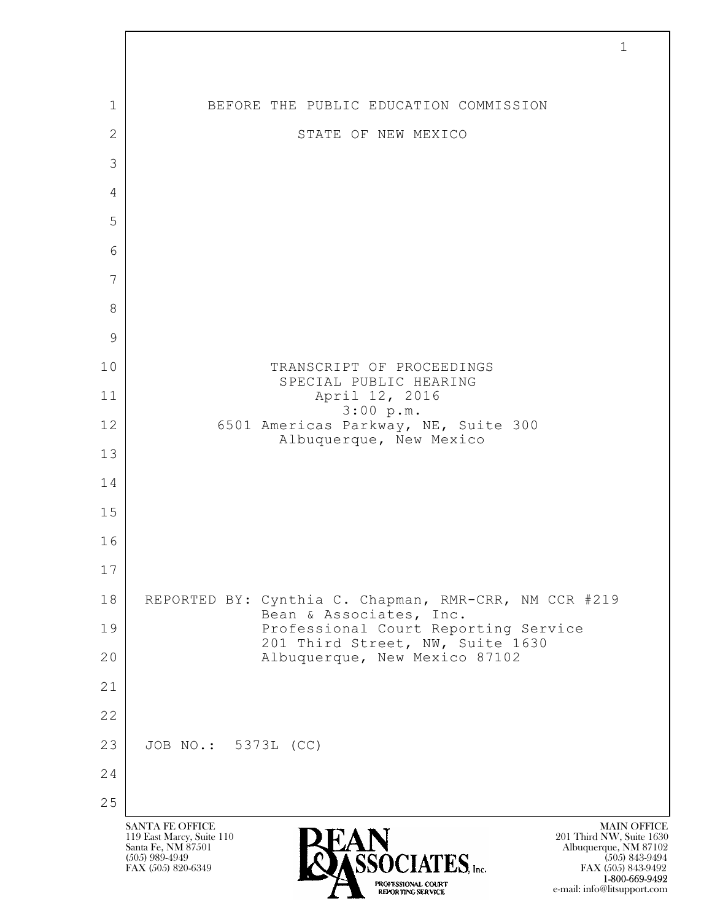$\mathbf{L}$  SANTA FE OFFICE MAIN OFFICE MAIN OFFICE MAIN OFFICE MAIN OFFICE 119 East Marcy, Suite 110<br>Santa Fe, NM 87501 Santa Fe, NM 87501 Albuquerque, NM 87102  $\sum_{\text{FAX (505) 889-4949}} \sum_{\text{FAX (505) 843-9492}} \sum_{\text{FAX (505) 843-9492}} \sum_{\text{FAX (505) 843-9492}}$ 1 BEFORE THE PUBLIC EDUCATION COMMISSION 2 STATE OF NEW MEXICO 3 4 5 6 7 8 9 10 TRANSCRIPT OF PROCEEDINGS SPECIAL PUBLIC HEARING 11 | April 12, 2016 3:00 p.m. 12 6501 Americas Parkway, NE, Suite 300 Albuquerque, New Mexico 13 14 15 16 17 18 REPORTED BY: Cynthia C. Chapman, RMR-CRR, NM CCR #219 Bean & Associates, Inc. 19 Professional Court Reporting Service 201 Third Street, NW, Suite 1630 20 | Ralbuquerque, New Mexico 87102 21 22 23 JOB NO.: 5373L (CC) 24 25

1

FAX (505) 843-9492 1-800-669-9492 e-mail: info@litsupport.com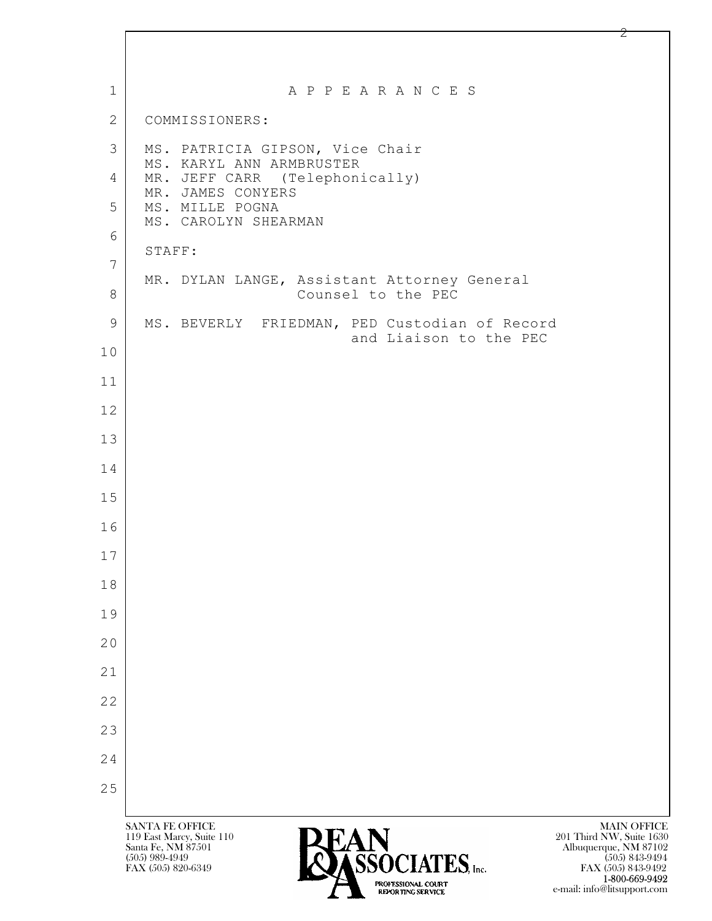| $\mathbf{1}$   | A P P E A R A N C E S                                                                                                                                                                                            |
|----------------|------------------------------------------------------------------------------------------------------------------------------------------------------------------------------------------------------------------|
| $\mathbf{2}$   | COMMISSIONERS:                                                                                                                                                                                                   |
| 3              | MS. PATRICIA GIPSON, Vice Chair<br>MS. KARYL ANN ARMBRUSTER                                                                                                                                                      |
| $\overline{4}$ | MR. JEFF CARR (Telephonically)<br>MR. JAMES CONYERS                                                                                                                                                              |
| 5              | MS. MILLE POGNA<br>MS. CAROLYN SHEARMAN                                                                                                                                                                          |
| 6              | STAFF:                                                                                                                                                                                                           |
| $\overline{7}$ | MR. DYLAN LANGE, Assistant Attorney General                                                                                                                                                                      |
| $8\,$          | Counsel to the PEC                                                                                                                                                                                               |
| $\mathcal{G}$  | MS. BEVERLY FRIEDMAN, PED Custodian of Record<br>and Liaison to the PEC                                                                                                                                          |
| 10             |                                                                                                                                                                                                                  |
| 11             |                                                                                                                                                                                                                  |
| 12             |                                                                                                                                                                                                                  |
| 13             |                                                                                                                                                                                                                  |
| 14             |                                                                                                                                                                                                                  |
| 15             |                                                                                                                                                                                                                  |
| 16             |                                                                                                                                                                                                                  |
| 17             |                                                                                                                                                                                                                  |
| 18             |                                                                                                                                                                                                                  |
| 19             |                                                                                                                                                                                                                  |
| 20             |                                                                                                                                                                                                                  |
| 21             |                                                                                                                                                                                                                  |
| 22             |                                                                                                                                                                                                                  |
| 23             |                                                                                                                                                                                                                  |
| 24             |                                                                                                                                                                                                                  |
| 25             |                                                                                                                                                                                                                  |
|                | <b>SANTA FE OFFICE</b><br><b>MAIN OFFICE</b><br>119 East Marcy, Suite 110<br>201 Third NW, Suite 1630<br>Santa Fe, NM 87501<br>Albuquerque, NM 87102<br><b>CCACLATEC</b><br>$(505)$ 989-4949<br>$(505)$ 843-9494 |

 $FAX (505) 820-6349$  FAX  $(505) 820-6349$ 

**1-800-669-9492** e-mail: info@litsupport.com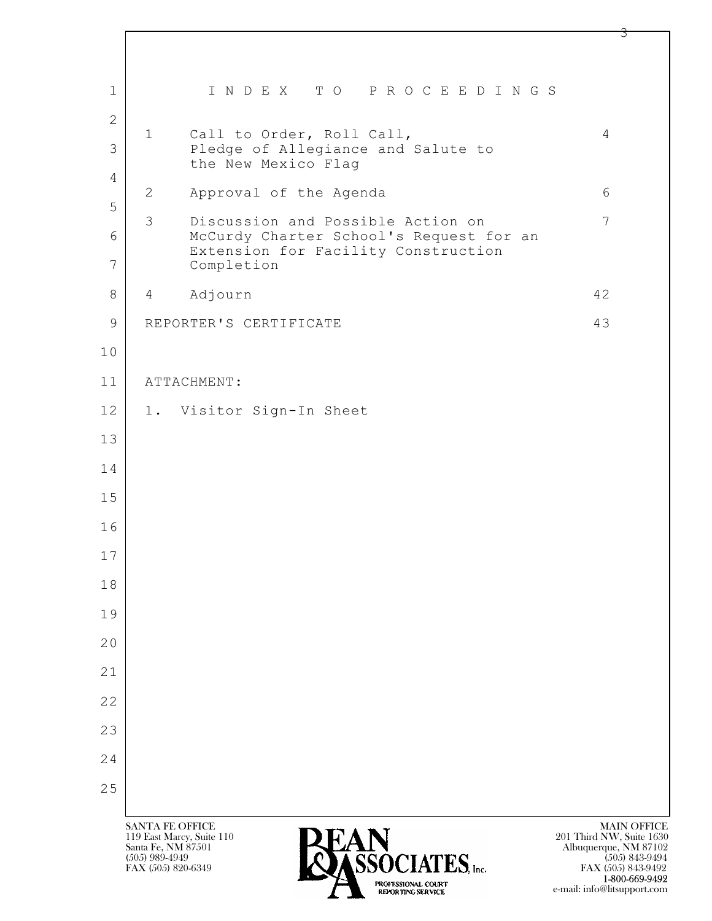| $\mathbf{1}$        | INDEX TO PROCEEDINGS                                                                                         |                                                                                               |
|---------------------|--------------------------------------------------------------------------------------------------------------|-----------------------------------------------------------------------------------------------|
| 2<br>3              | $\mathbf{1}$<br>Call to Order, Roll Call,<br>Pledge of Allegiance and Salute to<br>the New Mexico Flag       | 4                                                                                             |
| $\overline{4}$      | $\mathbf{2}$<br>Approval of the Agenda                                                                       | 6                                                                                             |
| 5                   | 3<br>Discussion and Possible Action on                                                                       | $\overline{7}$                                                                                |
| 6<br>$\overline{7}$ | McCurdy Charter School's Request for an<br>Extension for Facility Construction<br>Completion                 |                                                                                               |
| 8                   | Adjourn<br>$\overline{4}$                                                                                    | 42                                                                                            |
| $\mathsf 9$         | REPORTER'S CERTIFICATE                                                                                       | 43                                                                                            |
| 10                  |                                                                                                              |                                                                                               |
| 11                  | ATTACHMENT:                                                                                                  |                                                                                               |
| 12                  | 1. Visitor Sign-In Sheet                                                                                     |                                                                                               |
| 13                  |                                                                                                              |                                                                                               |
| 14                  |                                                                                                              |                                                                                               |
| 15                  |                                                                                                              |                                                                                               |
| 16                  |                                                                                                              |                                                                                               |
| 17                  |                                                                                                              |                                                                                               |
| 18                  |                                                                                                              |                                                                                               |
| 19                  |                                                                                                              |                                                                                               |
| 20                  |                                                                                                              |                                                                                               |
| 21                  |                                                                                                              |                                                                                               |
| 22                  |                                                                                                              |                                                                                               |
| 23                  |                                                                                                              |                                                                                               |
| 24                  |                                                                                                              |                                                                                               |
| 25                  |                                                                                                              |                                                                                               |
|                     | <b>SANTA FE OFFICE</b><br>119 East Marcy, Suite 110<br>Santa Fe, NM 87501<br>I CEÀCLATEC<br>$(505)$ 989-4949 | <b>MAIN OFFICE</b><br>201 Third NW, Suite 1630<br>Albuquerque, NM 87102<br>$(505) 843 - 9494$ |

 $F$ ASSOCIATES, Inc.

**1-800-669-9492** e-mail: info@litsupport.com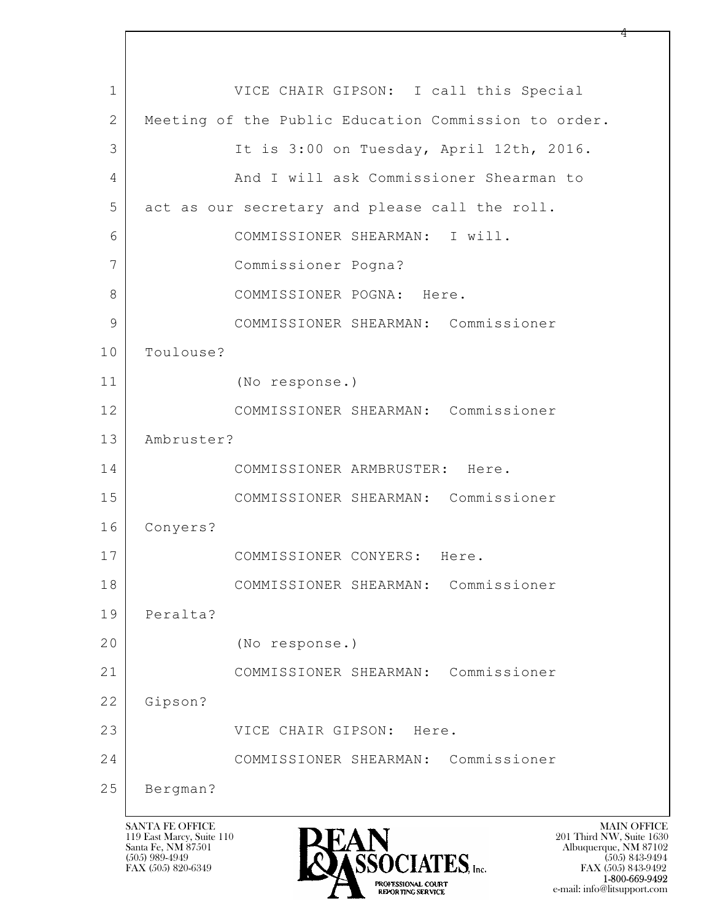$\mathbf{L}$  1 VICE CHAIR GIPSON: I call this Special 2 Meeting of the Public Education Commission to order. 3 It is 3:00 on Tuesday, April 12th, 2016. 4 And I will ask Commissioner Shearman to 5 act as our secretary and please call the roll. 6 COMMISSIONER SHEARMAN: I will. 7 Commissioner Pogna? 8 | COMMISSIONER POGNA: Here. 9 COMMISSIONER SHEARMAN: Commissioner 10 Toulouse? 11 (No response.) 12 COMMISSIONER SHEARMAN: Commissioner 13 Ambruster? 14 COMMISSIONER ARMBRUSTER: Here. 15 COMMISSIONER SHEARMAN: Commissioner 16 Conyers? 17 COMMISSIONER CONYERS: Here. 18 COMMISSIONER SHEARMAN: Commissioner 19 Peralta? 20 (No response.) 21 COMMISSIONER SHEARMAN: Commissioner 22 Gipson? 23 VICE CHAIR GIPSON: Here. 24 COMMISSIONER SHEARMAN: Commissioner 25 Bergman?

119 East Marcy, Suite 110<br>Santa Fe, NM 87501



FAX (505) 843-9492 e-mail: info@litsupport.com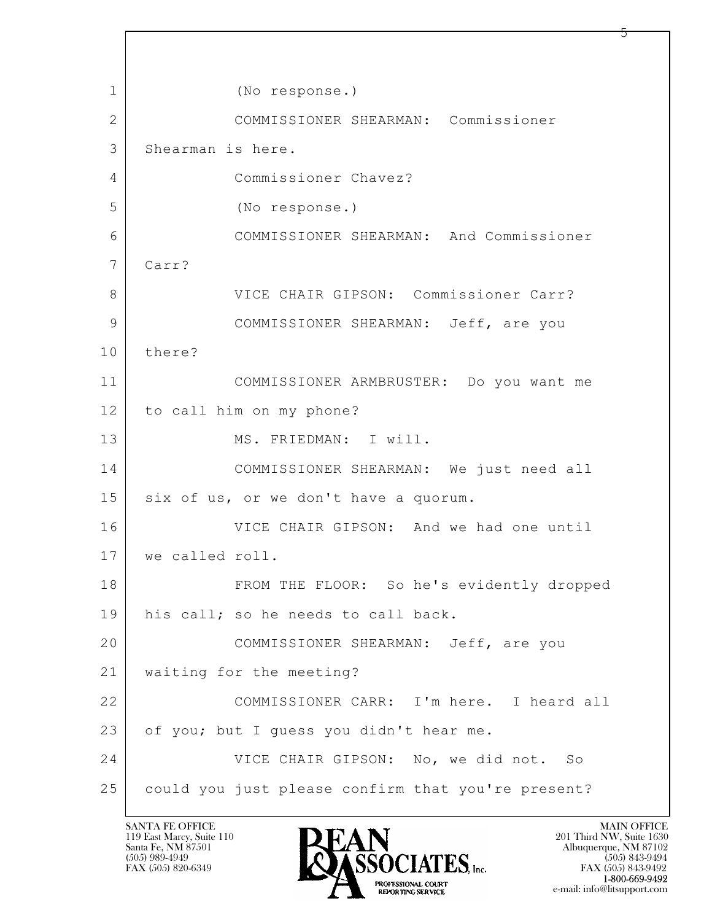$\mathbf{L}$  1 (No response.) 2 COMMISSIONER SHEARMAN: Commissioner 3 Shearman is here. 4 Commissioner Chavez? 5 (No response.) 6 COMMISSIONER SHEARMAN: And Commissioner 7 Carr? 8 VICE CHAIR GIPSON: Commissioner Carr? 9 COMMISSIONER SHEARMAN: Jeff, are you 10 there? 11 COMMISSIONER ARMBRUSTER: Do you want me 12 to call him on my phone? 13 MS. FRIEDMAN: I will. 14 COMMISSIONER SHEARMAN: We just need all 15 six of us, or we don't have a quorum. 16 VICE CHAIR GIPSON: And we had one until 17 we called roll. 18 | FROM THE FLOOR: So he's evidently dropped 19 his call; so he needs to call back. 20 COMMISSIONER SHEARMAN: Jeff, are you 21 waiting for the meeting? 22 COMMISSIONER CARR: I'm here. I heard all 23 of you; but I quess you didn't hear me. 24 VICE CHAIR GIPSON: No, we did not. So 25 could you just please confirm that you're present?

119 East Marcy, Suite 110<br>Santa Fe, NM 87501

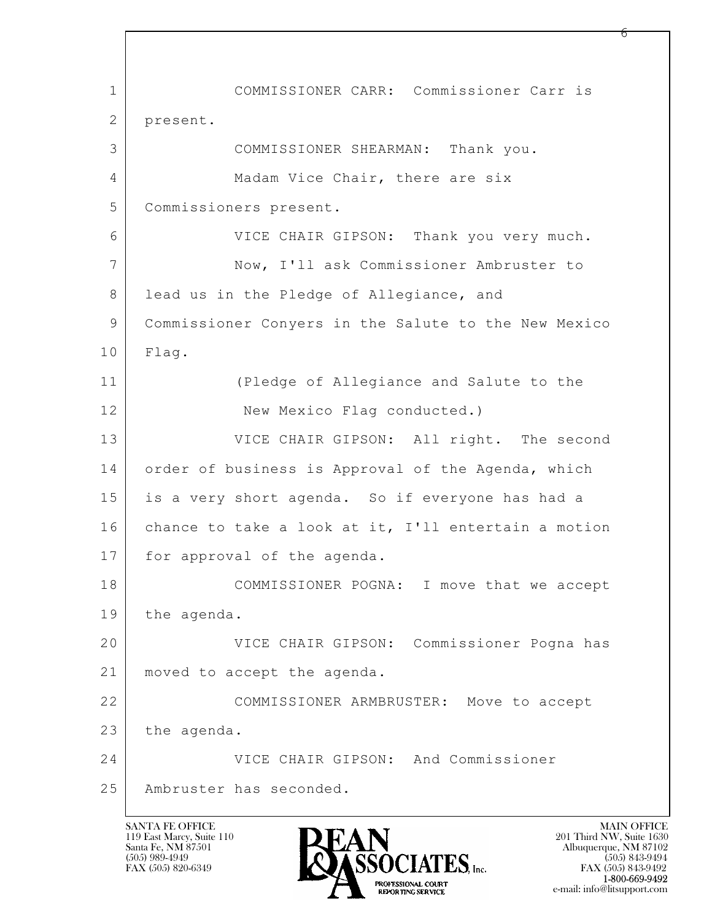$\mathbf{L}$  1 COMMISSIONER CARR: Commissioner Carr is 2 present. 3 COMMISSIONER SHEARMAN: Thank you. 4 | Madam Vice Chair, there are six 5 Commissioners present. 6 VICE CHAIR GIPSON: Thank you very much. 7 Now, I'll ask Commissioner Ambruster to 8 | lead us in the Pledge of Allegiance, and 9 Commissioner Conyers in the Salute to the New Mexico 10 Flag. 11 (Pledge of Allegiance and Salute to the 12 New Mexico Flag conducted.) 13 VICE CHAIR GIPSON: All right. The second 14 order of business is Approval of the Agenda, which 15 is a very short agenda. So if everyone has had a 16 chance to take a look at it, I'll entertain a motion 17 for approval of the agenda. 18 COMMISSIONER POGNA: I move that we accept 19 the agenda. 20 VICE CHAIR GIPSON: Commissioner Pogna has 21 moved to accept the agenda. 22 COMMISSIONER ARMBRUSTER: Move to accept 23 the agenda. 24 VICE CHAIR GIPSON: And Commissioner 25 Ambruster has seconded.



FAX (505) 843-9492 e-mail: info@litsupport.com

რ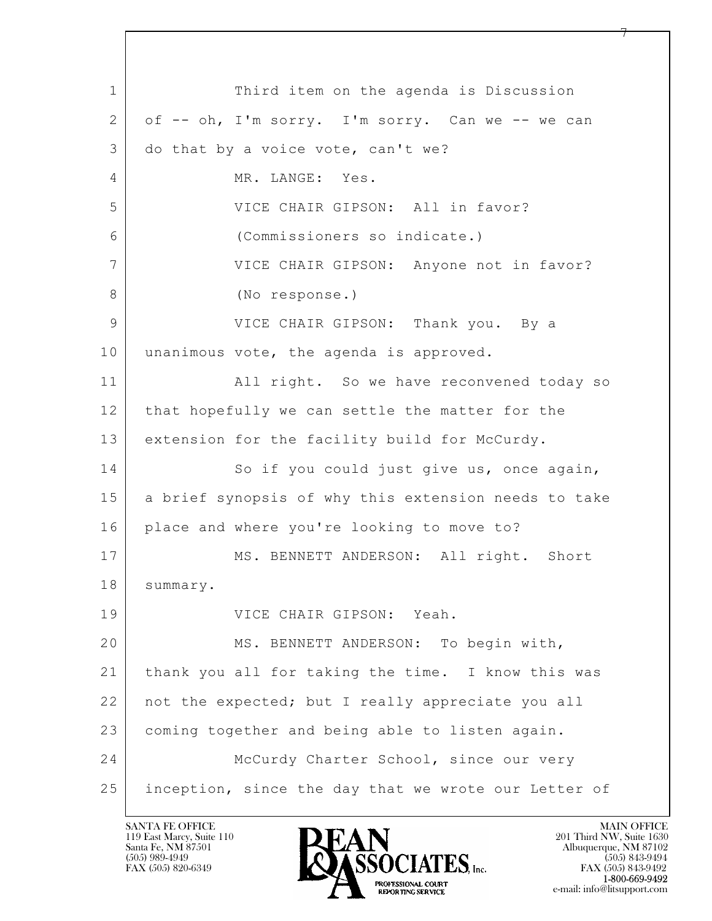$\mathbf{L}$  1 Third item on the agenda is Discussion 2 of -- oh, I'm sorry. I'm sorry. Can we -- we can 3 do that by a voice vote, can't we? 4 MR. LANGE: Yes. 5 VICE CHAIR GIPSON: All in favor? 6 (Commissioners so indicate.) 7 VICE CHAIR GIPSON: Anyone not in favor? 8 (No response.) 9 VICE CHAIR GIPSON: Thank you. By a 10 unanimous vote, the agenda is approved. 11 | All right. So we have reconvened today so 12 that hopefully we can settle the matter for the 13 extension for the facility build for McCurdy. 14 So if you could just give us, once again, 15 | a brief synopsis of why this extension needs to take 16 place and where you're looking to move to? 17 | MS. BENNETT ANDERSON: All right. Short 18 summary. 19 VICE CHAIR GIPSON: Yeah. 20 | MS. BENNETT ANDERSON: To begin with, 21 thank you all for taking the time. I know this was 22 not the expected; but I really appreciate you all 23 coming together and being able to listen again. 24 McCurdy Charter School, since our very 25 inception, since the day that we wrote our Letter of

119 East Marcy, Suite 110<br>Santa Fe, NM 87501

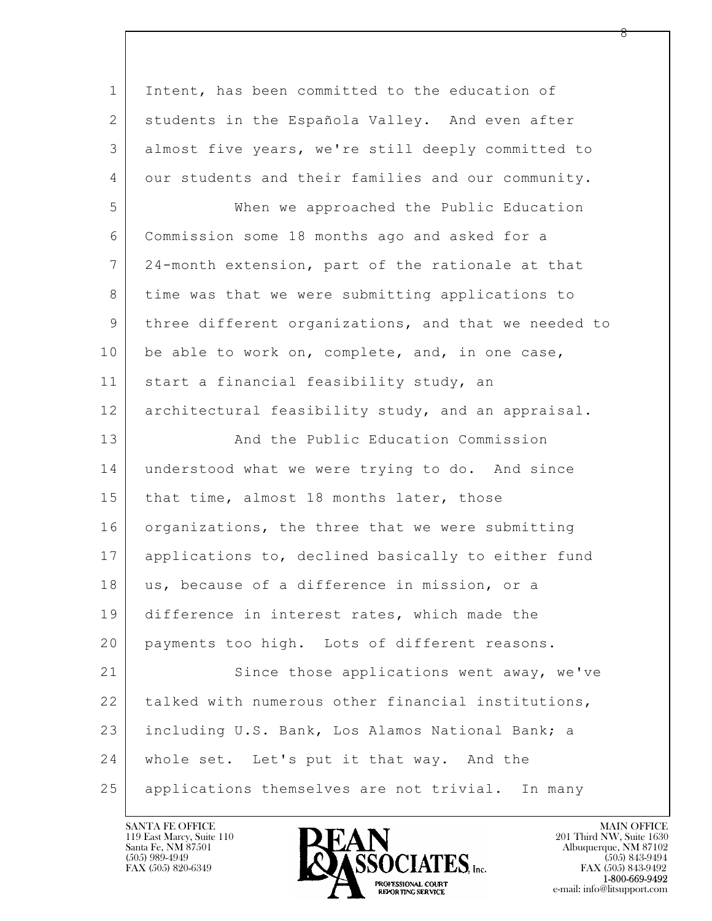$\mathbf{L}$  1 Intent, has been committed to the education of 2 students in the Española Valley. And even after 3 almost five years, we're still deeply committed to 4 our students and their families and our community. 5 When we approached the Public Education 6 Commission some 18 months ago and asked for a 7 24-month extension, part of the rationale at that 8 time was that we were submitting applications to 9 three different organizations, and that we needed to 10 be able to work on, complete, and, in one case, 11 | start a financial feasibility study, an 12 architectural feasibility study, and an appraisal. 13 And the Public Education Commission 14 | understood what we were trying to do. And since 15 | that time, almost 18 months later, those 16 organizations, the three that we were submitting 17 applications to, declined basically to either fund 18 us, because of a difference in mission, or a 19 difference in interest rates, which made the 20 payments too high. Lots of different reasons. 21 Since those applications went away, we've 22 talked with numerous other financial institutions, 23 including U.S. Bank, Los Alamos National Bank; a 24 | whole set. Let's put it that way. And the 25 applications themselves are not trivial. In many

119 East Marcy, Suite 110<br>Santa Fe, NM 87501



FAX (505) 843-9492 e-mail: info@litsupport.com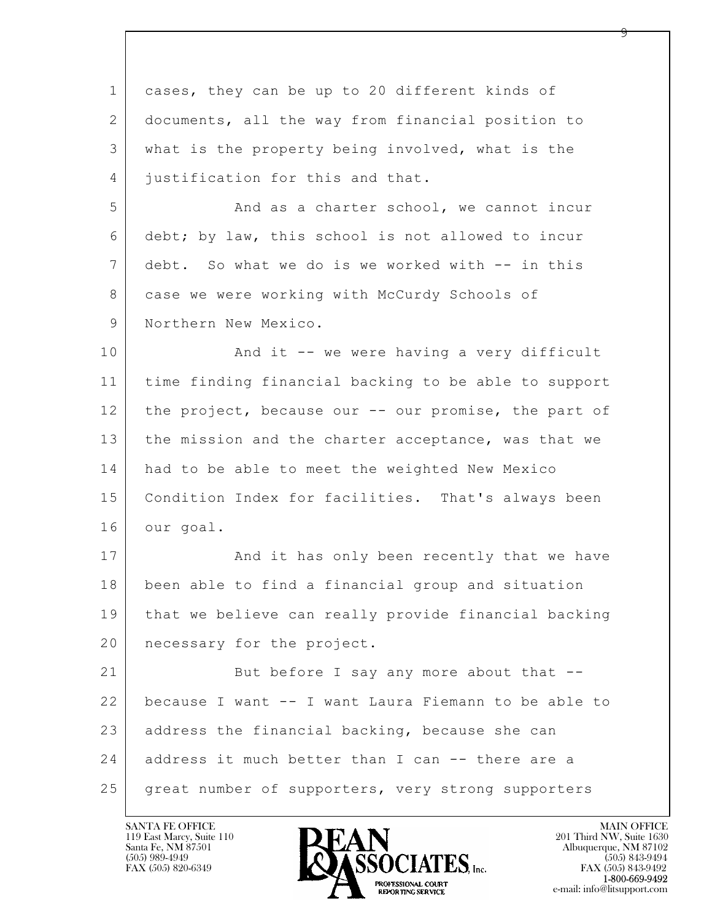| cases, they can be up to 20 different kinds of       |
|------------------------------------------------------|
| documents, all the way from financial position to    |
| what is the property being involved, what is the     |
| justification for this and that.                     |
| And as a charter school, we cannot incur             |
| debt; by law, this school is not allowed to incur    |
| debt. So what we do is we worked with -- in this     |
| case we were working with McCurdy Schools of         |
| Northern New Mexico.                                 |
| And it -- we were having a very difficult            |
| time finding financial backing to be able to support |
| the project, because our -- our promise, the part of |
| the mission and the charter acceptance, was that we  |
| had to be able to meet the weighted New Mexico       |
| Condition Index for facilities. That's always been   |
| our goal.                                            |
| And it has only been recently that we have           |
| been able to find a financial group and situation    |
| that we believe can really provide financial backing |
| necessary for the project.                           |
| But before I say any more about that --              |
| because I want -- I want Laura Fiemann to be able to |
| address the financial backing, because she can       |
| address it much better than I can -- there are a     |
| great number of supporters, very strong supporters   |
|                                                      |

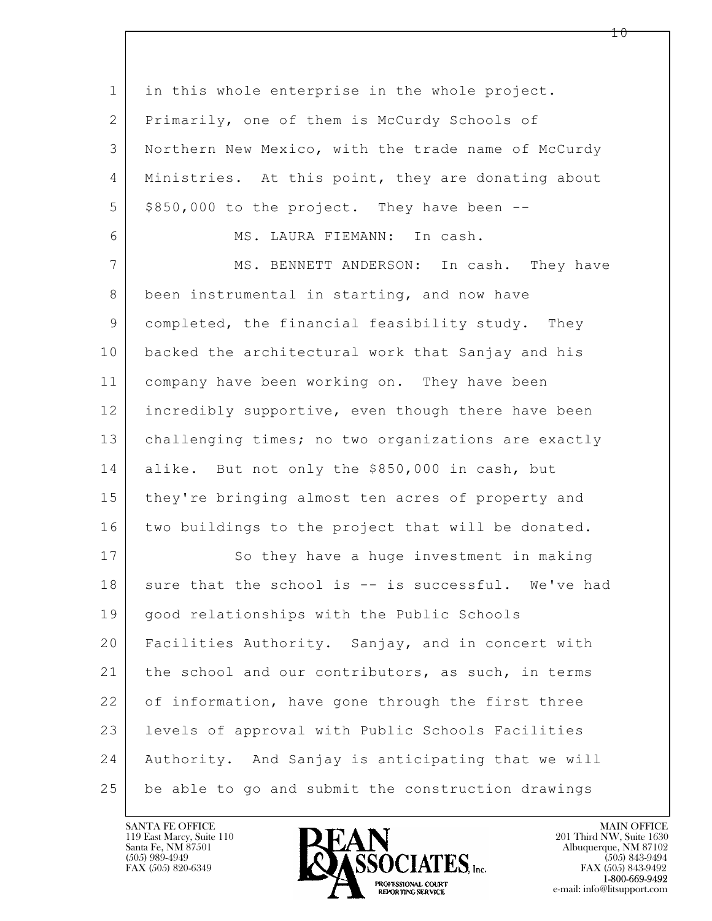$\mathbf{L}$  1 in this whole enterprise in the whole project. 2 Primarily, one of them is McCurdy Schools of 3 Northern New Mexico, with the trade name of McCurdy 4 Ministries. At this point, they are donating about  $5$  \$850,000 to the project. They have been  $-$ 6 MS. LAURA FIEMANN: In cash. 7 MS. BENNETT ANDERSON: In cash. They have 8 been instrumental in starting, and now have 9 completed, the financial feasibility study. They 10 backed the architectural work that Sanjay and his 11 company have been working on. They have been 12 incredibly supportive, even though there have been 13 challenging times; no two organizations are exactly 14 alike. But not only the \$850,000 in cash, but 15 | they're bringing almost ten acres of property and 16 two buildings to the project that will be donated. 17 So they have a huge investment in making  $18$  sure that the school is  $-$  is successful. We've had 19 | good relationships with the Public Schools 20 Facilities Authority. Sanjay, and in concert with 21 | the school and our contributors, as such, in terms 22 of information, have gone through the first three 23 levels of approval with Public Schools Facilities 24 Authority. And Sanjay is anticipating that we will 25 be able to go and submit the construction drawings

119 East Marcy, Suite 110<br>Santa Fe, NM 87501



FAX (505) 843-9492 e-mail: info@litsupport.com

1 ი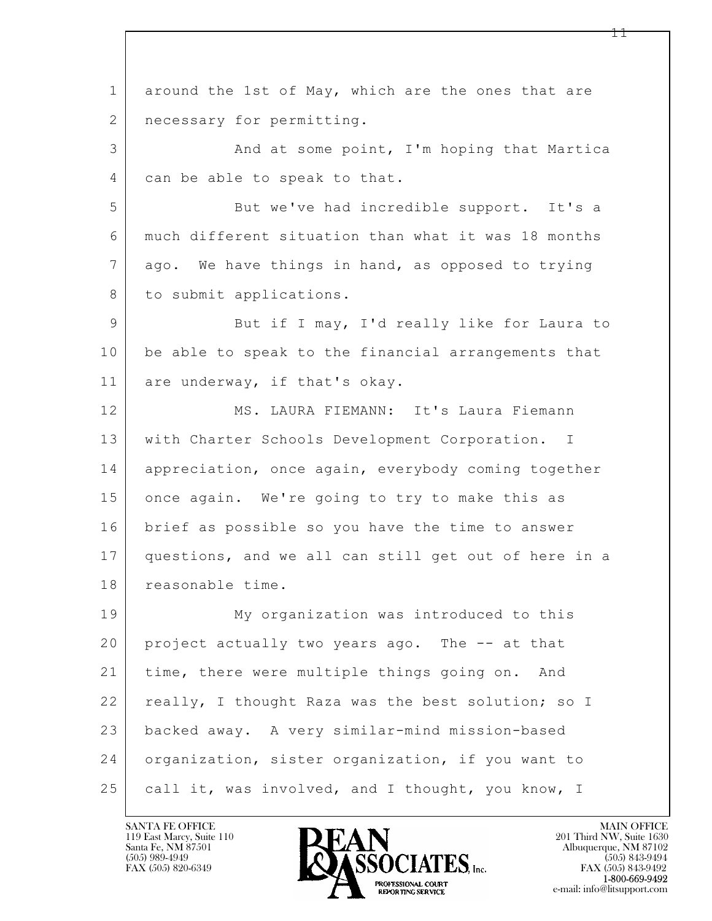$\mathbf{L}$  1 around the 1st of May, which are the ones that are 2 | necessary for permitting. 3 And at some point, I'm hoping that Martica 4 can be able to speak to that. 5 But we've had incredible support. It's a 6 much different situation than what it was 18 months 7 ago. We have things in hand, as opposed to trying 8 to submit applications. 9 But if I may, I'd really like for Laura to 10 be able to speak to the financial arrangements that 11 are underway, if that's okay. 12 MS. LAURA FIEMANN: It's Laura Fiemann 13 with Charter Schools Development Corporation. I 14 appreciation, once again, everybody coming together 15 once again. We're going to try to make this as 16 brief as possible so you have the time to answer 17 questions, and we all can still get out of here in a 18 reasonable time. 19 My organization was introduced to this 20 project actually two years ago. The -- at that 21 time, there were multiple things going on. And 22 really, I thought Raza was the best solution; so I 23 backed away. A very similar-mind mission-based 24 organization, sister organization, if you want to 25 call it, was involved, and I thought, you know, I

119 East Marcy, Suite 110<br>Santa Fe, NM 87501



FAX (505) 843-9492 e-mail: info@litsupport.com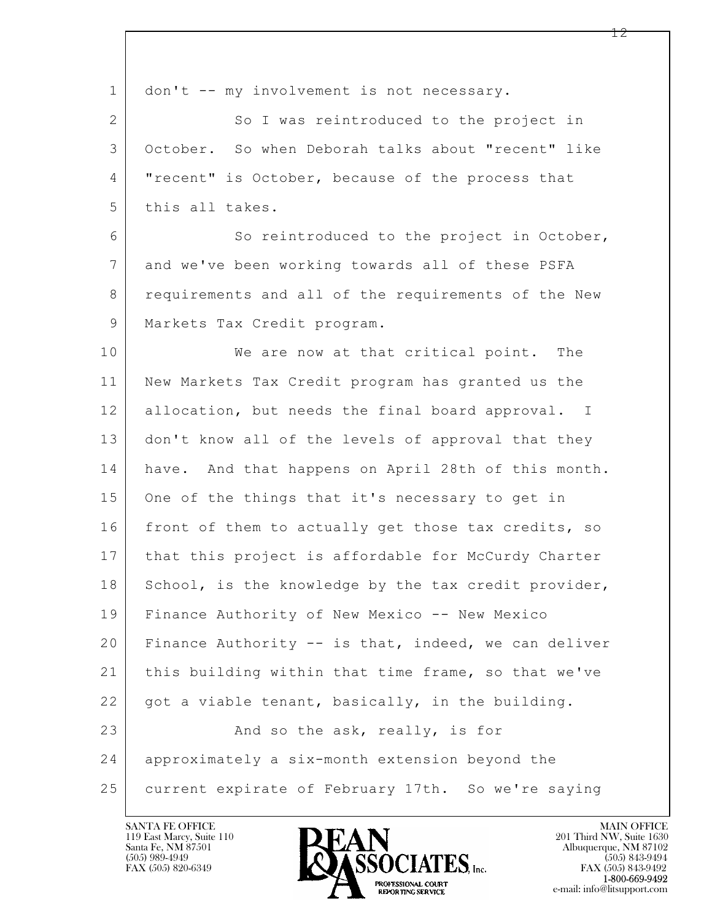| $\mathbf 1$    | don't -- my involvement is not necessary.            |
|----------------|------------------------------------------------------|
| $\mathbf{2}$   | So I was reintroduced to the project in              |
| 3              | October. So when Deborah talks about "recent" like   |
| 4              | "recent" is October, because of the process that     |
| 5              | this all takes.                                      |
| 6              | So reintroduced to the project in October,           |
| $7\phantom{.}$ | and we've been working towards all of these PSFA     |
| 8              | requirements and all of the requirements of the New  |
| $\mathsf 9$    | Markets Tax Credit program.                          |
| 10             | We are now at that critical point. The               |
| 11             | New Markets Tax Credit program has granted us the    |
| 12             | allocation, but needs the final board approval. I    |
| 13             | don't know all of the levels of approval that they   |
| 14             | have. And that happens on April 28th of this month.  |
| 15             | One of the things that it's necessary to get in      |
| 16             | front of them to actually get those tax credits, so  |
| 17             | that this project is affordable for McCurdy Charter  |
| 18             | School, is the knowledge by the tax credit provider, |
| 19             | Finance Authority of New Mexico -- New Mexico        |
| 20             | Finance Authority -- is that, indeed, we can deliver |
| 21             | this building within that time frame, so that we've  |
| 22             | got a viable tenant, basically, in the building.     |
| 23             | And so the ask, really, is for                       |
| 24             | approximately a six-month extension beyond the       |
| 25             | current expirate of February 17th. So we're saying   |

 $\overline{\phantom{a}}$ 

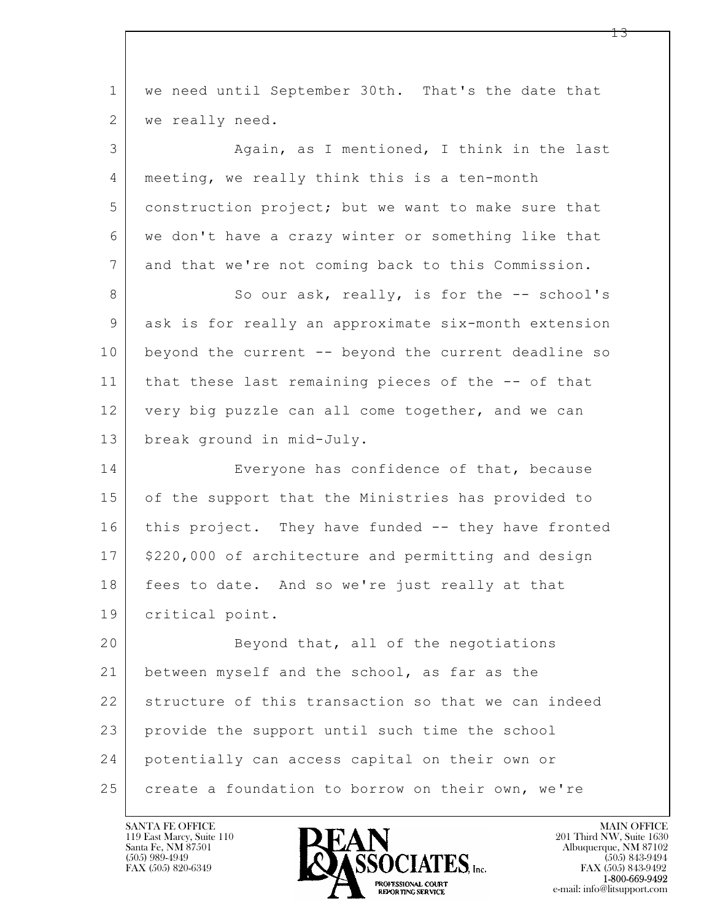$\mathbf{L}$  1 we need until September 30th. That's the date that 2 | we really need. 3 Again, as I mentioned, I think in the last 4 meeting, we really think this is a ten-month 5 construction project; but we want to make sure that 6 we don't have a crazy winter or something like that 7 and that we're not coming back to this Commission. 8 So our ask, really, is for the -- school's 9 ask is for really an approximate six-month extension 10 beyond the current -- beyond the current deadline so 11 that these last remaining pieces of the -- of that 12 very big puzzle can all come together, and we can 13 break ground in mid-July. 14 Everyone has confidence of that, because 15 of the support that the Ministries has provided to 16 this project. They have funded -- they have fronted 17 | \$220,000 of architecture and permitting and design 18 fees to date. And so we're just really at that 19 critical point. 20 Beyond that, all of the negotiations 21 between myself and the school, as far as the 22 structure of this transaction so that we can indeed 23 provide the support until such time the school 24 potentially can access capital on their own or 25 create a foundation to borrow on their own, we're

119 East Marcy, Suite 110<br>Santa Fe, NM 87501



FAX (505) 843-9492 e-mail: info@litsupport.com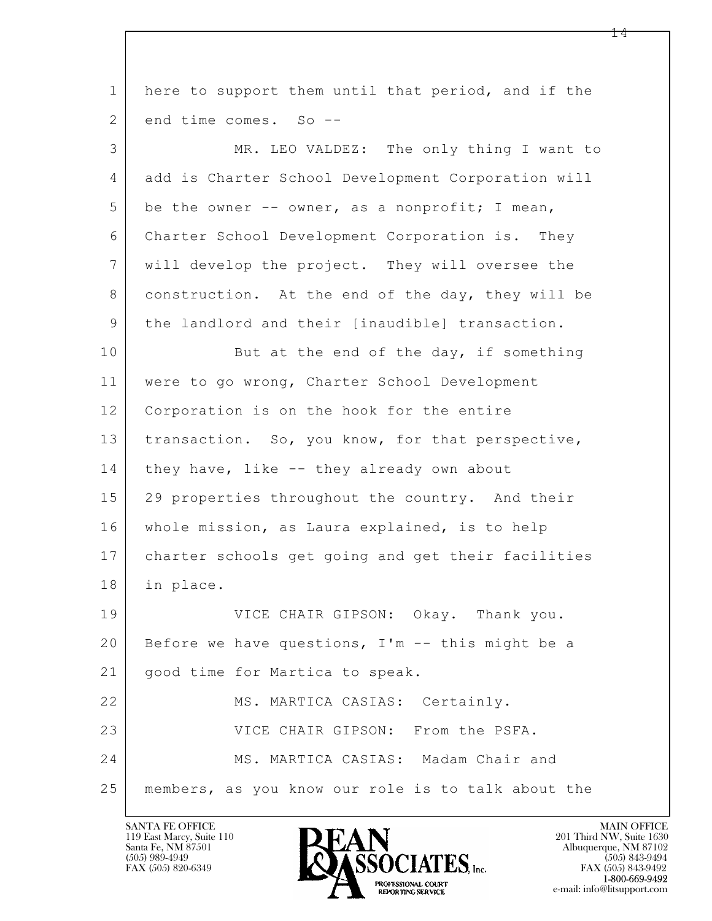| $\mathbf 1$ | here to support them until that period, and if the |
|-------------|----------------------------------------------------|
| 2           | end time comes. So --                              |
| 3           | MR. LEO VALDEZ: The only thing I want to           |
| 4           | add is Charter School Development Corporation will |
| 5           | be the owner -- owner, as a nonprofit; I mean,     |
| 6           | Charter School Development Corporation is. They    |
| 7           | will develop the project. They will oversee the    |
| 8           | construction. At the end of the day, they will be  |
| 9           | the landlord and their [inaudible] transaction.    |
| 10          | But at the end of the day, if something            |
| 11          | were to go wrong, Charter School Development       |
| 12          | Corporation is on the hook for the entire          |
| 13          | transaction. So, you know, for that perspective,   |
| 14          | they have, like -- they already own about          |
| 15          | 29 properties throughout the country. And their    |
| 16          | whole mission, as Laura explained, is to help      |
| 17          | charter schools get going and get their facilities |
| 18          | in place.                                          |
| 19          | VICE CHAIR GIPSON: Okay. Thank you.                |
| 20          | Before we have questions, I'm -- this might be a   |
| 21          | good time for Martica to speak.                    |
| 22          | MS. MARTICA CASIAS: Certainly.                     |
| 23          | VICE CHAIR GIPSON: From the PSFA.                  |
| 24          | MS. MARTICA CASIAS: Madam Chair and                |
| 25          | members, as you know our role is to talk about the |

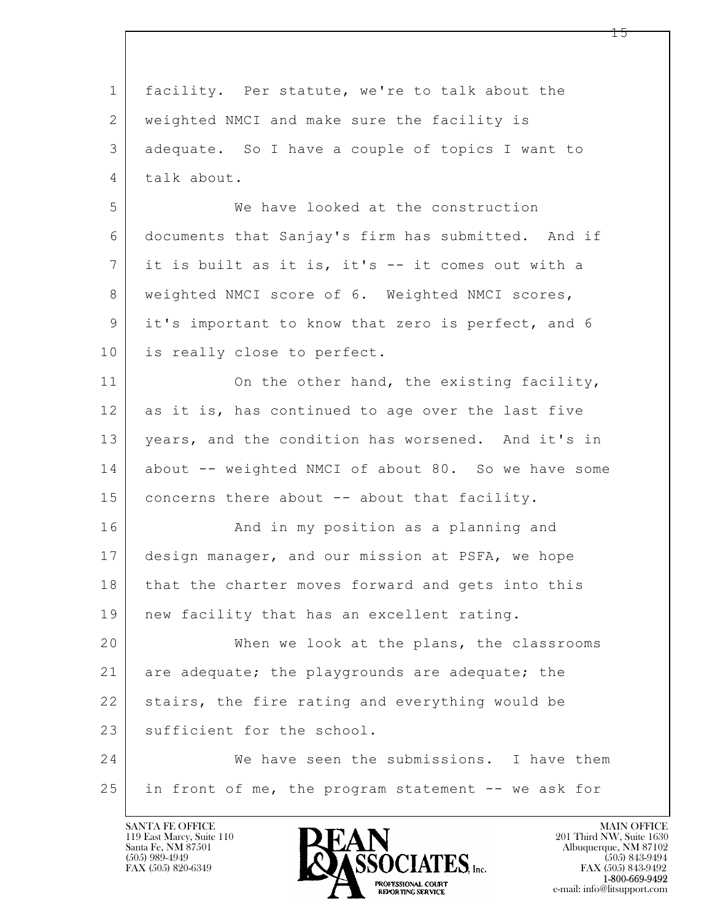| $\mathbf{1}$   | facility. Per statute, we're to talk about the      |
|----------------|-----------------------------------------------------|
| 2              | weighted NMCI and make sure the facility is         |
| 3              | adequate. So I have a couple of topics I want to    |
| $\overline{4}$ | talk about.                                         |
| 5              | We have looked at the construction                  |
| 6              | documents that Sanjay's firm has submitted. And if  |
| 7              | it is built as it is, it's -- it comes out with a   |
| 8              | weighted NMCI score of 6. Weighted NMCI scores,     |
| 9              | it's important to know that zero is perfect, and 6  |
| 10             | is really close to perfect.                         |
| 11             | On the other hand, the existing facility,           |
| 12             | as it is, has continued to age over the last five   |
| 13             | years, and the condition has worsened. And it's in  |
| 14             | about -- weighted NMCI of about 80. So we have some |
| 15             | concerns there about -- about that facility.        |
| 16             | And in my position as a planning and                |
| 17             | design manager, and our mission at PSFA, we hope    |
| 18             | that the charter moves forward and gets into this   |
| 19             | new facility that has an excellent rating.          |
| 20             | When we look at the plans, the classrooms           |
| 21             | are adequate; the playgrounds are adequate; the     |
| 22             | stairs, the fire rating and everything would be     |
| 23             | sufficient for the school.                          |
| 24             | We have seen the submissions. I have them           |
| 25             | in front of me, the program statement -- we ask for |
|                |                                                     |

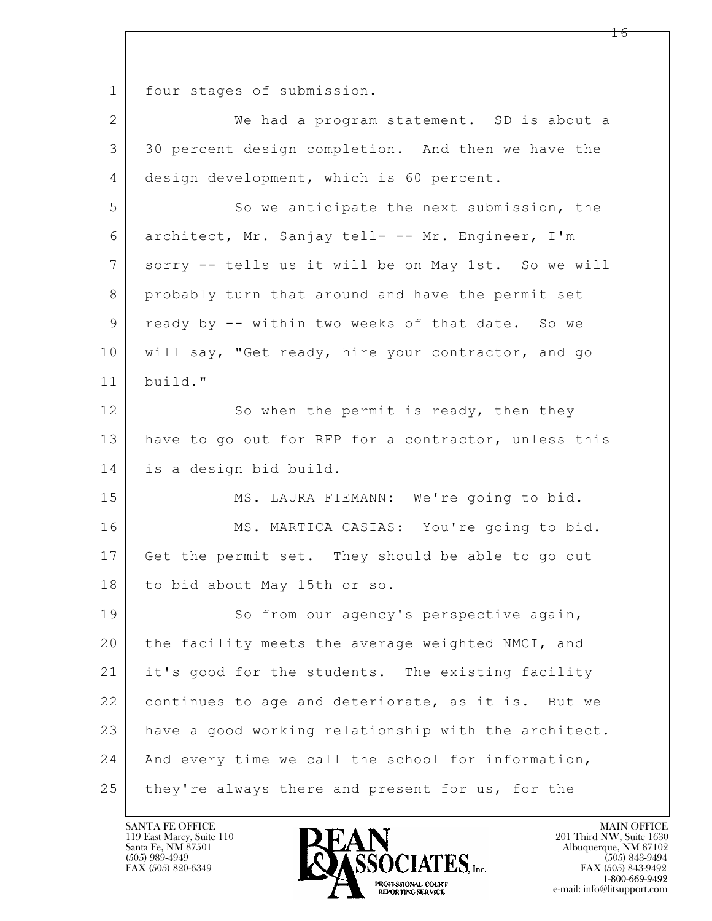1 four stages of submission.

| $\overline{2}$ | We had a program statement. SD is about a            |
|----------------|------------------------------------------------------|
| 3              | 30 percent design completion. And then we have the   |
| 4              | design development, which is 60 percent.             |
| 5              | So we anticipate the next submission, the            |
| 6              | architect, Mr. Sanjay tell- -- Mr. Engineer, I'm     |
| 7              | sorry -- tells us it will be on May 1st. So we will  |
| 8              | probably turn that around and have the permit set    |
| 9              | ready by -- within two weeks of that date. So we     |
| 10             | will say, "Get ready, hire your contractor, and go   |
| 11             | build."                                              |
| 12             | So when the permit is ready, then they               |
| 13             | have to go out for RFP for a contractor, unless this |
| 14             | is a design bid build.                               |
| 15             | MS. LAURA FIEMANN: We're going to bid.               |
| 16             | MS. MARTICA CASIAS: You're going to bid.             |
| 17             | Get the permit set. They should be able to go out    |
| 18             | to bid about May 15th or so.                         |
| 19             | So from our agency's perspective again,              |
| 20             | the facility meets the average weighted NMCI, and    |
| 21             | it's good for the students. The existing facility    |
| 22             | continues to age and deteriorate, as it is. But we   |
| 23             | have a good working relationship with the architect. |
| 24             | And every time we call the school for information,   |
| 25             | they're always there and present for us, for the     |

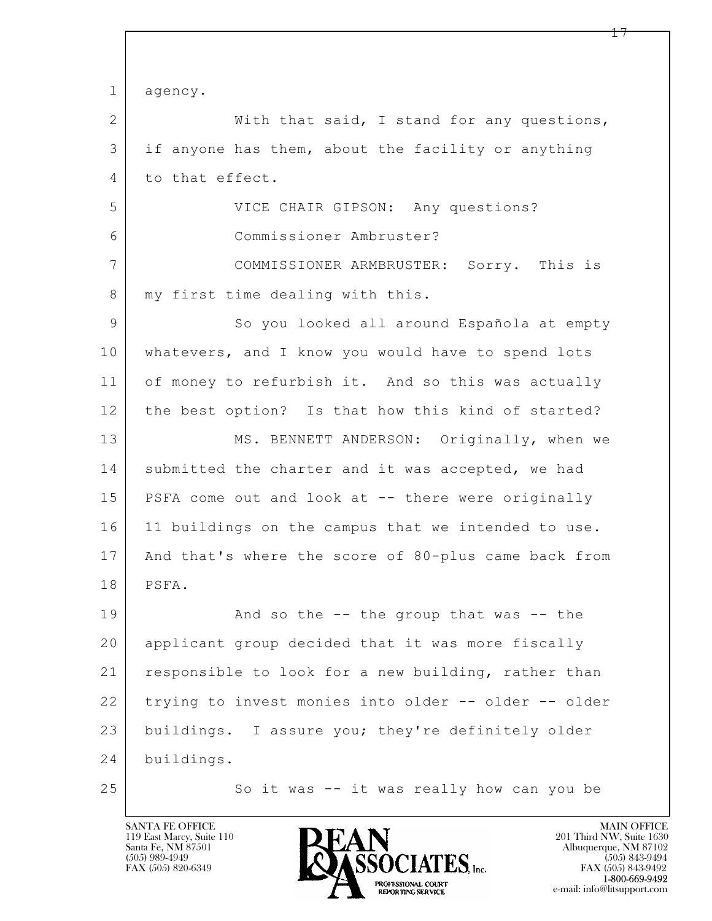$\mathbf{L}$  1 agency. 2 With that said, I stand for any questions, 3 if anyone has them, about the facility or anything 4 to that effect. 5 VICE CHAIR GIPSON: Any questions? 6 Commissioner Ambruster? 7 COMMISSIONER ARMBRUSTER: Sorry. This is 8 | my first time dealing with this. 9 So you looked all around Española at empty 10 whatevers, and I know you would have to spend lots 11 of money to refurbish it. And so this was actually 12 the best option? Is that how this kind of started? 13 MS. BENNETT ANDERSON: Originally, when we 14 submitted the charter and it was accepted, we had 15 PSFA come out and look at -- there were originally 16 11 buildings on the campus that we intended to use. 17 And that's where the score of 80-plus came back from 18 PSFA. 19 | And so the -- the group that was -- the 20 applicant group decided that it was more fiscally 21 responsible to look for a new building, rather than 22 trying to invest monies into older -- older -- older 23 buildings. I assure you; they're definitely older 24 buildings. 25 So it was -- it was really how can you be

119 East Marcy, Suite 110<br>Santa Fe, NM 87501

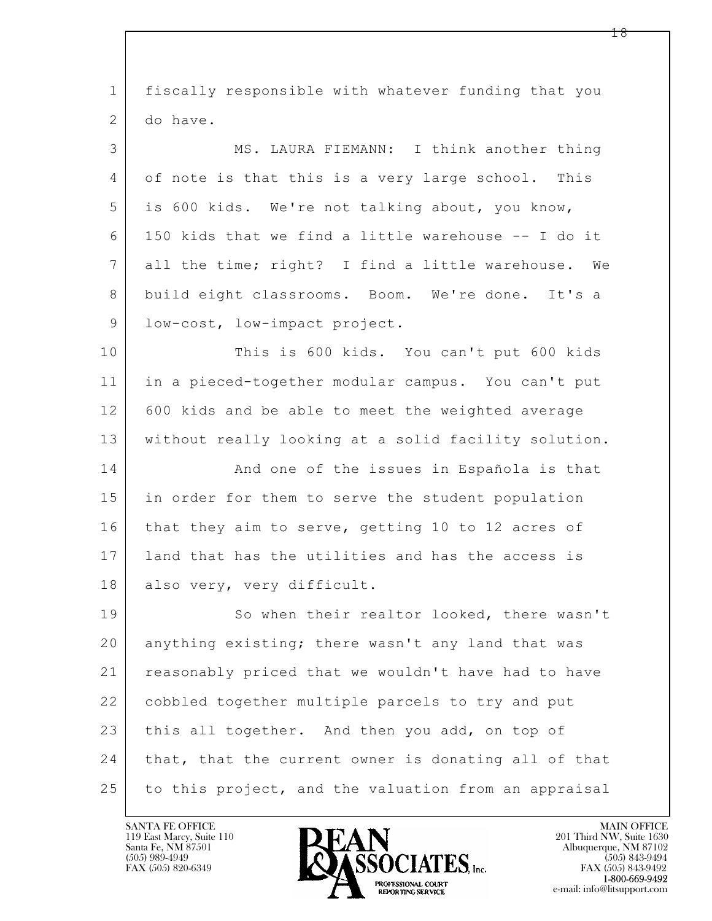| $\mathbf 1$ | fiscally responsible with whatever funding that you   |
|-------------|-------------------------------------------------------|
| 2           | do have.                                              |
| 3           | MS. LAURA FIEMANN: I think another thing              |
| 4           | of note is that this is a very large school. This     |
| 5           | is 600 kids. We're not talking about, you know,       |
| 6           | 150 kids that we find a little warehouse -- I do it   |
| 7           | all the time; right? I find a little warehouse.<br>We |
| 8           | build eight classrooms. Boom. We're done. It's a      |
| $\mathsf 9$ | low-cost, low-impact project.                         |
| 10          | This is 600 kids. You can't put 600 kids              |
| 11          | in a pieced-together modular campus. You can't put    |
| 12          | 600 kids and be able to meet the weighted average     |
| 13          | without really looking at a solid facility solution.  |
| 14          | And one of the issues in Española is that             |
| 15          | in order for them to serve the student population     |
| 16          | that they aim to serve, getting 10 to 12 acres of     |
| 17          | land that has the utilities and has the access is     |
| 18          | also very, very difficult.                            |
| 19          | So when their realtor looked, there wasn't            |
| 20          | anything existing; there wasn't any land that was     |
| 21          | reasonably priced that we wouldn't have had to have   |
| 22          | cobbled together multiple parcels to try and put      |
| 23          | this all together. And then you add, on top of        |
| 24          | that, that the current owner is donating all of that  |
| 25          | to this project, and the valuation from an appraisal  |
|             |                                                       |

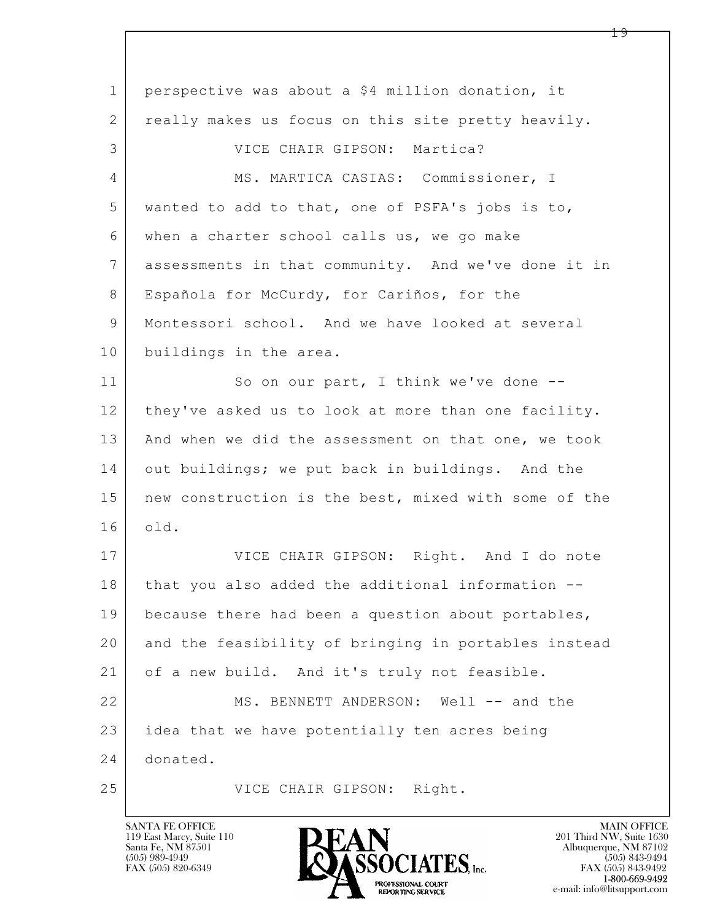$\mathbf{L}$  1 perspective was about a \$4 million donation, it 2 really makes us focus on this site pretty heavily. 3 | VICE CHAIR GIPSON: Martica? 4 MS. MARTICA CASIAS: Commissioner, I 5 wanted to add to that, one of PSFA's jobs is to, 6 when a charter school calls us, we go make 7 assessments in that community. And we've done it in 8 | Española for McCurdy, for Cariños, for the 9 Montessori school. And we have looked at several 10 buildings in the area. 11 So on our part, I think we've done --12 they've asked us to look at more than one facility. 13 And when we did the assessment on that one, we took 14 out buildings; we put back in buildings. And the 15 | new construction is the best, mixed with some of the 16 old. 17 | VICE CHAIR GIPSON: Right. And I do note 18 that you also added the additional information --19 because there had been a question about portables, 20 and the feasibility of bringing in portables instead 21 of a new build. And it's truly not feasible. 22 MS. BENNETT ANDERSON: Well -- and the 23 idea that we have potentially ten acres being 24 donated. 25 VICE CHAIR GIPSON: Right.

119 East Marcy, Suite 110<br>Santa Fe, NM 87501



FAX (505) 843-9492 e-mail: info@litsupport.com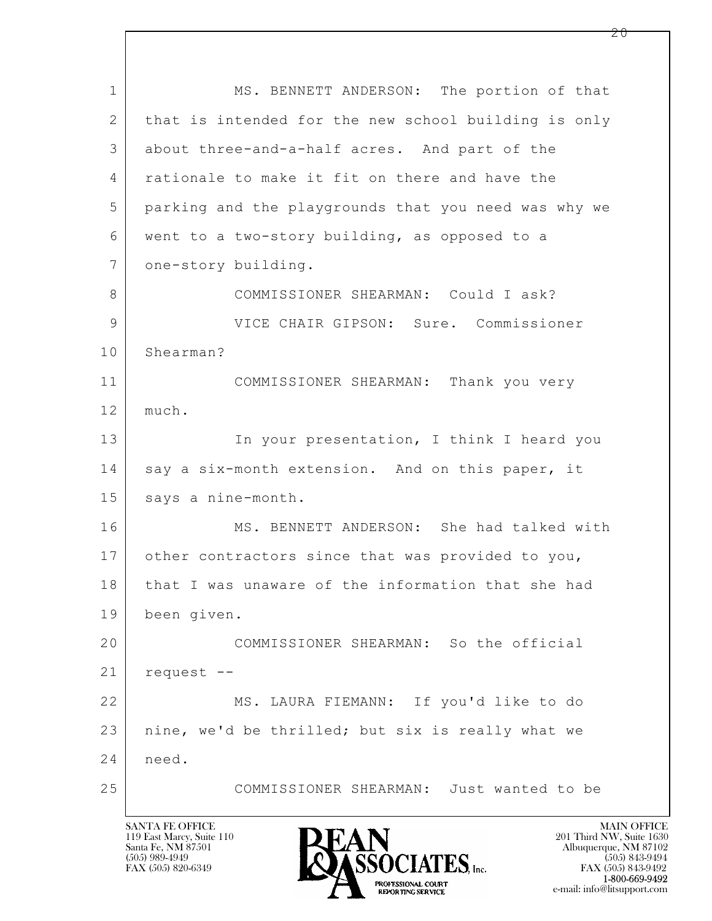$\mathbf{L}$  1 MS. BENNETT ANDERSON: The portion of that 2 that is intended for the new school building is only 3 about three-and-a-half acres. And part of the 4 rationale to make it fit on there and have the 5 parking and the playgrounds that you need was why we 6 went to a two-story building, as opposed to a 7 one-story building. 8 COMMISSIONER SHEARMAN: Could I ask? 9 VICE CHAIR GIPSON: Sure. Commissioner 10 Shearman? 11 COMMISSIONER SHEARMAN: Thank you very 12 much. 13 In your presentation, I think I heard you 14 say a six-month extension. And on this paper, it 15 | says a nine-month. 16 MS. BENNETT ANDERSON: She had talked with 17 other contractors since that was provided to you, 18 | that I was unaware of the information that she had 19 been given. 20 COMMISSIONER SHEARMAN: So the official 21 request -- 22 MS. LAURA FIEMANN: If you'd like to do 23 nine, we'd be thrilled; but six is really what we 24 need. 25 COMMISSIONER SHEARMAN: Just wanted to be

119 East Marcy, Suite 110<br>Santa Fe, NM 87501

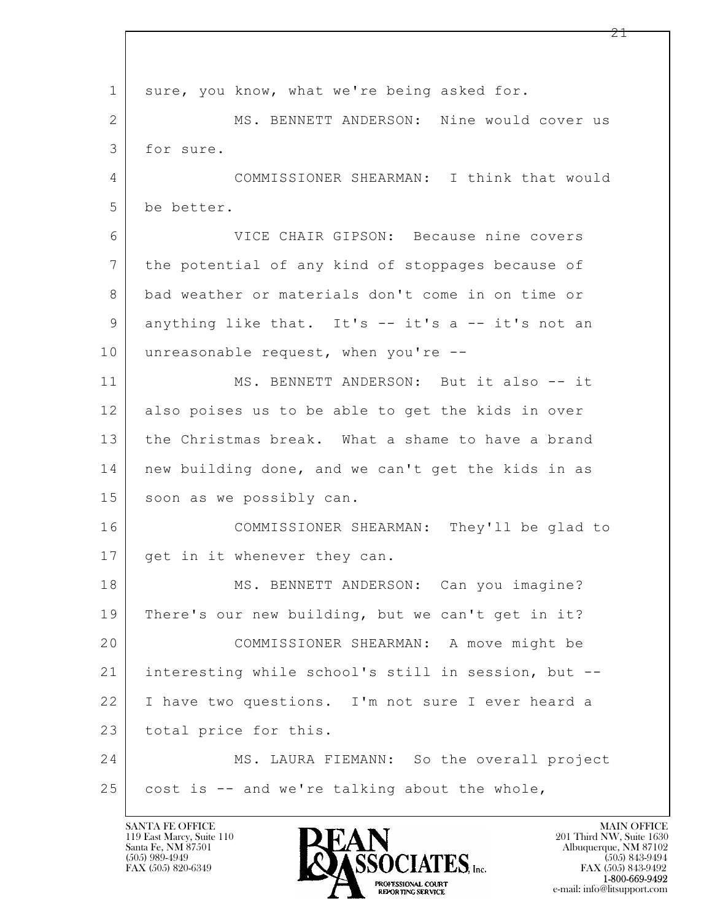$\mathbf{L}$  1 sure, you know, what we're being asked for. 2 MS. BENNETT ANDERSON: Nine would cover us 3 for sure. 4 COMMISSIONER SHEARMAN: I think that would 5 be better. 6 VICE CHAIR GIPSON: Because nine covers 7 the potential of any kind of stoppages because of 8 bad weather or materials don't come in on time or 9 anything like that. It's -- it's a -- it's not an 10 unreasonable request, when you're --11 MS. BENNETT ANDERSON: But it also -- it 12 also poises us to be able to get the kids in over 13 the Christmas break. What a shame to have a brand 14 new building done, and we can't get the kids in as 15 soon as we possibly can. 16 COMMISSIONER SHEARMAN: They'll be glad to 17 get in it whenever they can. 18 | MS. BENNETT ANDERSON: Can you imagine? 19 There's our new building, but we can't get in it? 20 COMMISSIONER SHEARMAN: A move might be 21 interesting while school's still in session, but -- 22 I have two questions. I'm not sure I ever heard a 23 total price for this. 24 MS. LAURA FIEMANN: So the overall project  $25$  cost is  $-$  and we're talking about the whole,

119 East Marcy, Suite 110<br>Santa Fe, NM 87501

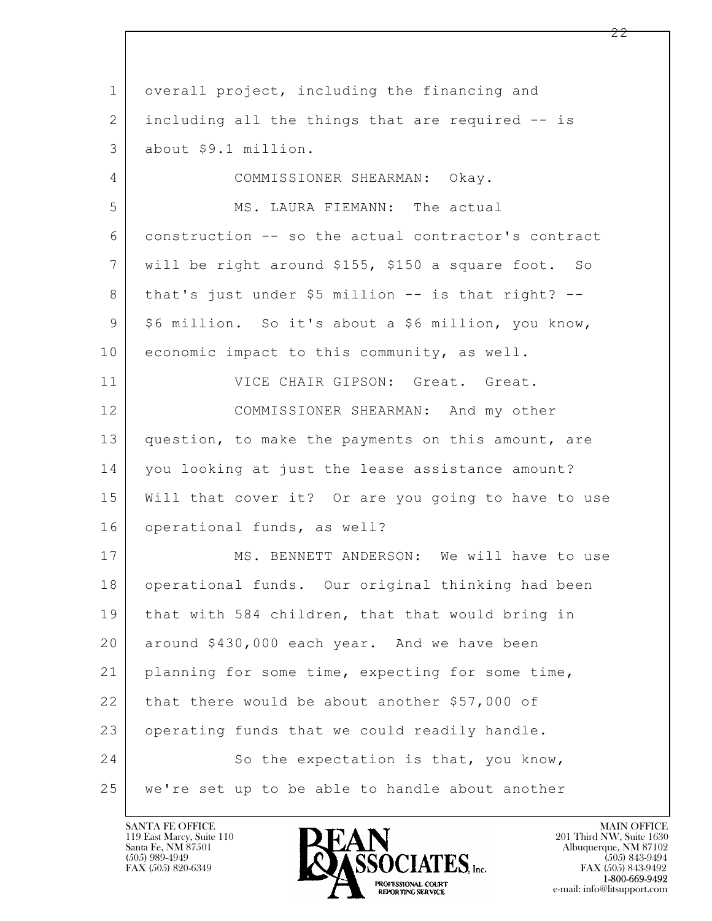$\mathbf{L}$  1 overall project, including the financing and 2 including all the things that are required -- is 3 about \$9.1 million. 4 COMMISSIONER SHEARMAN: Okay. 5 MS. LAURA FIEMANN: The actual 6 construction -- so the actual contractor's contract 7 will be right around \$155, \$150 a square foot. So 8 | that's just under \$5 million -- is that right? --9 | \$6 million. So it's about a \$6 million, you know, 10 economic impact to this community, as well. 11 VICE CHAIR GIPSON: Great. Great. 12 COMMISSIONER SHEARMAN: And my other 13 question, to make the payments on this amount, are 14 you looking at just the lease assistance amount? 15 Will that cover it? Or are you going to have to use 16 operational funds, as well? 17 MS. BENNETT ANDERSON: We will have to use 18 operational funds. Our original thinking had been 19 that with 584 children, that that would bring in 20 around \$430,000 each year. And we have been 21 planning for some time, expecting for some time, 22 that there would be about another \$57,000 of 23 operating funds that we could readily handle. 24 So the expectation is that, you know, 25 we're set up to be able to handle about another

119 East Marcy, Suite 110<br>Santa Fe, NM 87501



FAX (505) 843-9492 e-mail: info@litsupport.com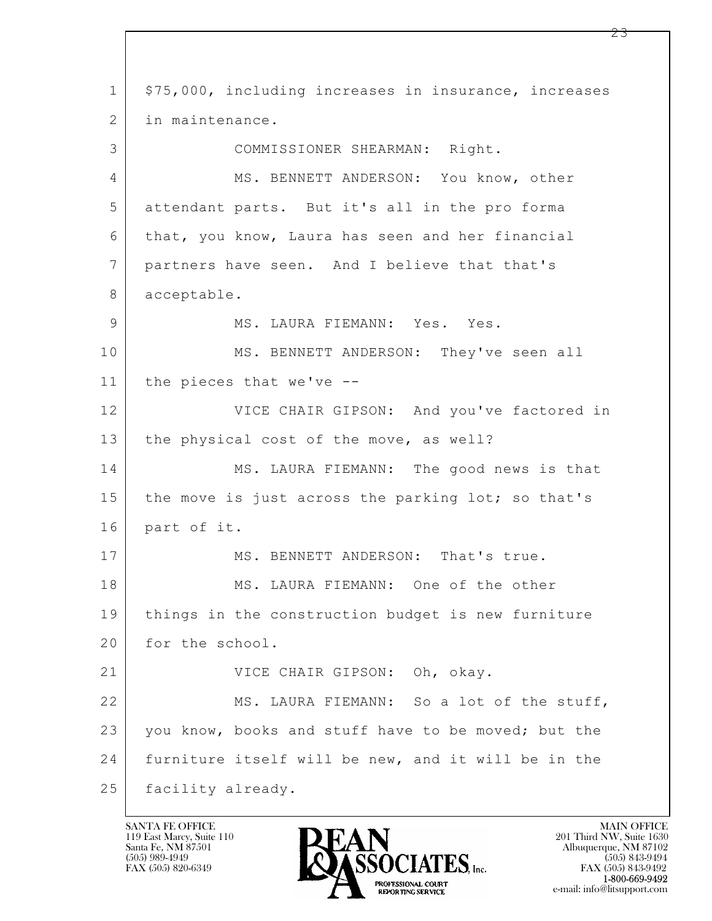$\mathbf{L}$  1 | \$75,000, including increases in insurance, increases 2 in maintenance. 3 COMMISSIONER SHEARMAN: Right. 4 MS. BENNETT ANDERSON: You know, other 5 attendant parts. But it's all in the pro forma 6 that, you know, Laura has seen and her financial 7 partners have seen. And I believe that that's 8 acceptable. 9 MS. LAURA FIEMANN: Yes. Yes. 10 MS. BENNETT ANDERSON: They've seen all 11 the pieces that we've -- 12 VICE CHAIR GIPSON: And you've factored in 13 | the physical cost of the move, as well? 14 MS. LAURA FIEMANN: The good news is that 15 the move is just across the parking lot; so that's 16 part of it. 17 MS. BENNETT ANDERSON: That's true. 18 MS. LAURA FIEMANN: One of the other 19 things in the construction budget is new furniture 20 for the school. 21 VICE CHAIR GIPSON: Oh, okay. 22 MS. LAURA FIEMANN: So a lot of the stuff, 23 you know, books and stuff have to be moved; but the 24 furniture itself will be new, and it will be in the 25 | facility already.

119 East Marcy, Suite 110<br>Santa Fe, NM 87501

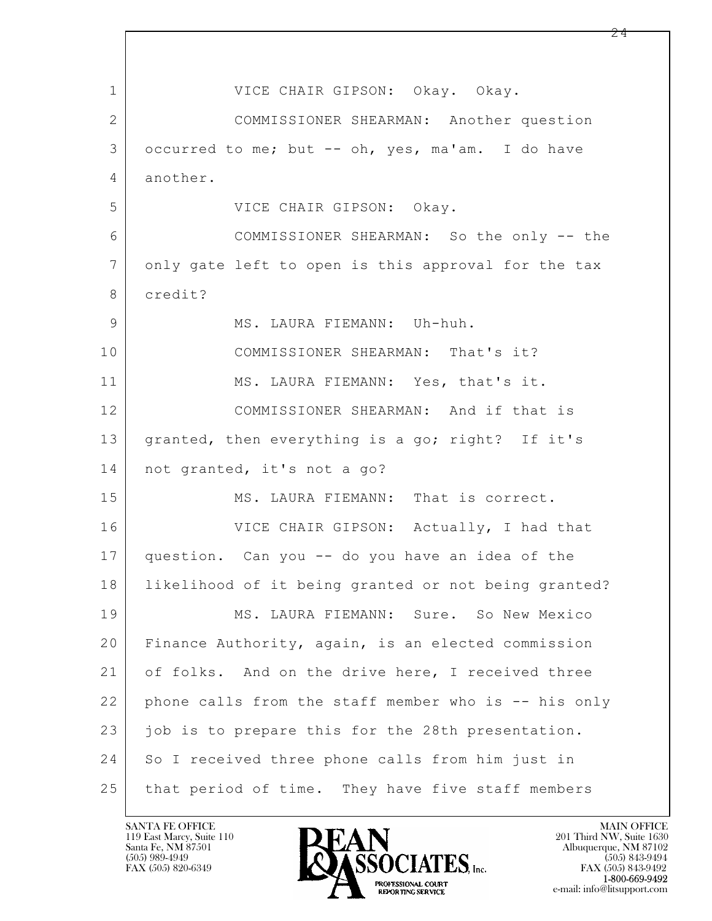$\mathbf{L}$  1 | VICE CHAIR GIPSON: Okay. Okay. 2 COMMISSIONER SHEARMAN: Another question 3 occurred to me; but -- oh, yes, ma'am. I do have 4 another. 5 VICE CHAIR GIPSON: Okay. 6 COMMISSIONER SHEARMAN: So the only -- the 7 only gate left to open is this approval for the tax 8 credit? 9 | MS. LAURA FIEMANN: Uh-huh. 10 COMMISSIONER SHEARMAN: That's it? 11 MS. LAURA FIEMANN: Yes, that's it. 12 COMMISSIONER SHEARMAN: And if that is 13 | granted, then everything is a go; right? If it's 14 not granted, it's not a go? 15 MS. LAURA FIEMANN: That is correct. 16 VICE CHAIR GIPSON: Actually, I had that 17 question. Can you -- do you have an idea of the 18 likelihood of it being granted or not being granted? 19 MS. LAURA FIEMANN: Sure. So New Mexico 20 Finance Authority, again, is an elected commission 21 of folks. And on the drive here, I received three 22 phone calls from the staff member who is -- his only 23 job is to prepare this for the 28th presentation. 24 So I received three phone calls from him just in 25 that period of time. They have five staff members

119 East Marcy, Suite 110<br>Santa Fe, NM 87501



FAX (505) 843-9492 e-mail: info@litsupport.com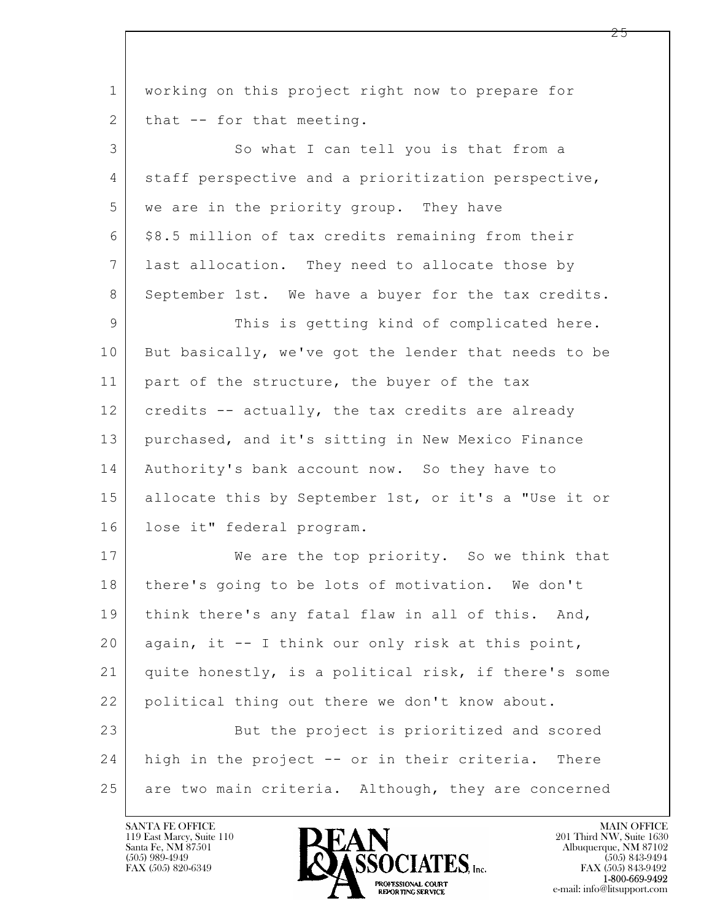| $\mathbf 1$    | working on this project right now to prepare for     |
|----------------|------------------------------------------------------|
| $\mathbf{2}$   | that -- for that meeting.                            |
| 3              | So what I can tell you is that from a                |
| 4              | staff perspective and a prioritization perspective,  |
| 5              | we are in the priority group. They have              |
| 6              | \$8.5 million of tax credits remaining from their    |
| $7\phantom{.}$ | last allocation. They need to allocate those by      |
| 8              | September 1st. We have a buyer for the tax credits.  |
| 9              | This is getting kind of complicated here.            |
| 10             | But basically, we've got the lender that needs to be |
| 11             | part of the structure, the buyer of the tax          |
| 12             | credits -- actually, the tax credits are already     |
| 13             | purchased, and it's sitting in New Mexico Finance    |
| 14             | Authority's bank account now. So they have to        |
| 15             | allocate this by September 1st, or it's a "Use it or |
| 16             | lose it" federal program.                            |
| 17             | We are the top priority. So we think that            |
| 18             | there's going to be lots of motivation. We don't     |
| 19             | think there's any fatal flaw in all of this. And,    |
| 20             | again, it -- I think our only risk at this point,    |
| 21             | quite honestly, is a political risk, if there's some |
| 22             | political thing out there we don't know about.       |
| 23             | But the project is prioritized and scored            |
| 24             | high in the project -- or in their criteria. There   |
| 25             | are two main criteria. Although, they are concerned  |

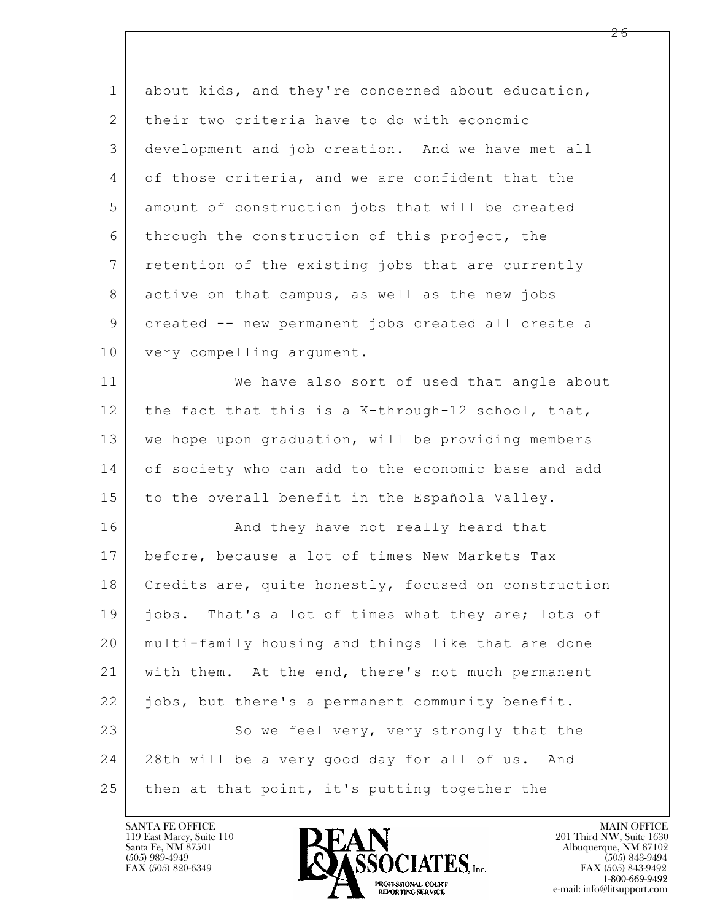| $\mathbf 1$ | about kids, and they're concerned about education,   |
|-------------|------------------------------------------------------|
| 2           | their two criteria have to do with economic          |
| 3           | development and job creation. And we have met all    |
| 4           | of those criteria, and we are confident that the     |
| 5           | amount of construction jobs that will be created     |
| 6           | through the construction of this project, the        |
| 7           | retention of the existing jobs that are currently    |
| 8           | active on that campus, as well as the new jobs       |
| 9           | created -- new permanent jobs created all create a   |
| 10          | very compelling argument.                            |
| 11          | We have also sort of used that angle about           |
| 12          | the fact that this is a K-through-12 school, that,   |
| 13          | we hope upon graduation, will be providing members   |
| 14          | of society who can add to the economic base and add  |
| 15          | to the overall benefit in the Española Valley.       |
| 16          | And they have not really heard that                  |
| 17          | before, because a lot of times New Markets Tax       |
| 18          | Credits are, quite honestly, focused on construction |
| 19          | jobs. That's a lot of times what they are; lots of   |
| 20          | multi-family housing and things like that are done   |
| 21          | with them. At the end, there's not much permanent    |
| 22          | jobs, but there's a permanent community benefit.     |
| 23          | So we feel very, very strongly that the              |
| 24          | 28th will be a very good day for all of us. And      |
| 25          | then at that point, it's putting together the        |

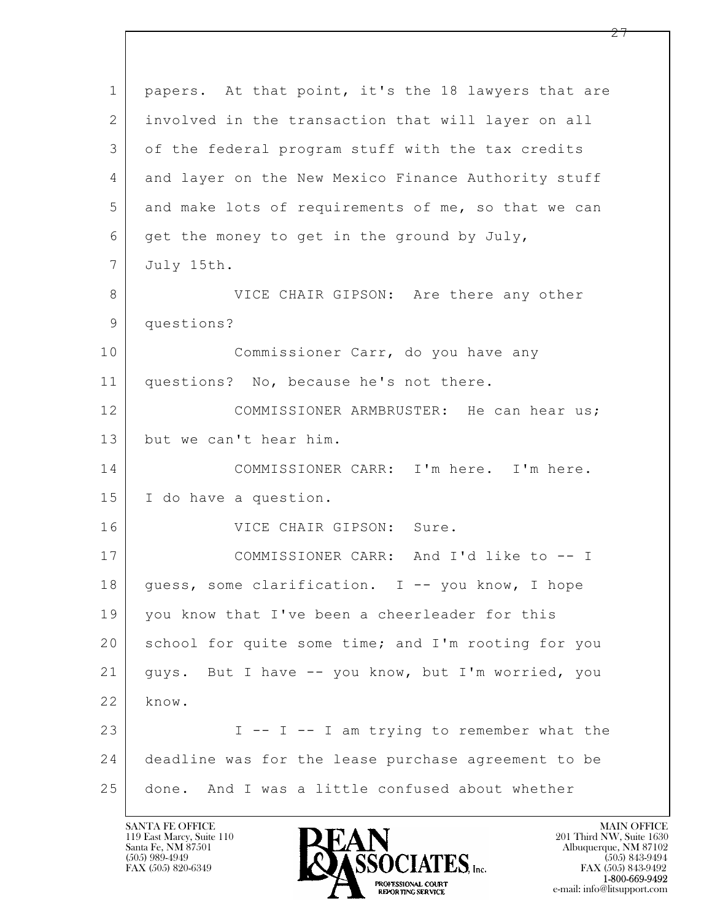| $\mathbf 1$    | papers. At that point, it's the 18 lawyers that are |
|----------------|-----------------------------------------------------|
| $\overline{2}$ | involved in the transaction that will layer on all  |
| 3              | of the federal program stuff with the tax credits   |
| 4              | and layer on the New Mexico Finance Authority stuff |
| 5              | and make lots of requirements of me, so that we can |
| 6              | get the money to get in the ground by July,         |
| 7              | July 15th.                                          |
| 8              | VICE CHAIR GIPSON: Are there any other              |
| 9              | questions?                                          |
| 10             | Commissioner Carr, do you have any                  |
| 11             | questions? No, because he's not there.              |
| 12             | COMMISSIONER ARMBRUSTER: He can hear us;            |
| 13             | but we can't hear him.                              |
| 14             | COMMISSIONER CARR: I'm here. I'm here.              |
| 15             | I do have a question.                               |
| 16             | VICE CHAIR GIPSON: Sure.                            |
| 17             | COMMISSIONER CARR: And I'd like to -- I             |
| 18             | quess, some clarification. I -- you know, I hope    |
| 19             | you know that I've been a cheerleader for this      |
| 20             | school for quite some time; and I'm rooting for you |
| 21             | guys. But I have -- you know, but I'm worried, you  |
| 22             | know.                                               |
| 23             | I -- I -- I am trying to remember what the          |
| 24             | deadline was for the lease purchase agreement to be |
| 25             | done. And I was a little confused about whether     |

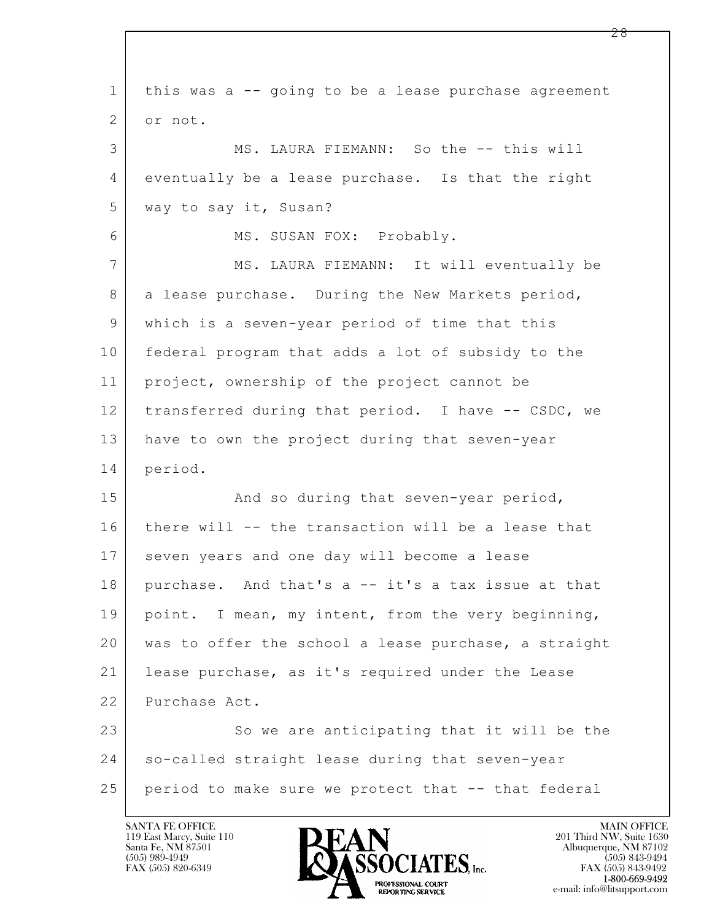| this was a -- going to be a lease purchase agreement |
|------------------------------------------------------|
| or not.                                              |
| MS. LAURA FIEMANN: So the -- this will               |
| eventually be a lease purchase. Is that the right    |
| way to say it, Susan?                                |
| MS. SUSAN FOX: Probably.                             |
| MS. LAURA FIEMANN: It will eventually be             |
| a lease purchase. During the New Markets period,     |
| which is a seven-year period of time that this       |
| federal program that adds a lot of subsidy to the    |
| project, ownership of the project cannot be          |
| transferred during that period. I have -- CSDC, we   |
| have to own the project during that seven-year       |
| period.                                              |
| And so during that seven-year period,                |
| there will -- the transaction will be a lease that   |
| seven years and one day will become a lease          |
| purchase. And that's a -- it's a tax issue at that   |
| point. I mean, my intent, from the very beginning,   |
| was to offer the school a lease purchase, a straight |
| lease purchase, as it's required under the Lease     |
| Purchase Act.                                        |
| So we are anticipating that it will be the           |
| so-called straight lease during that seven-year      |
| period to make sure we protect that -- that federal  |
|                                                      |

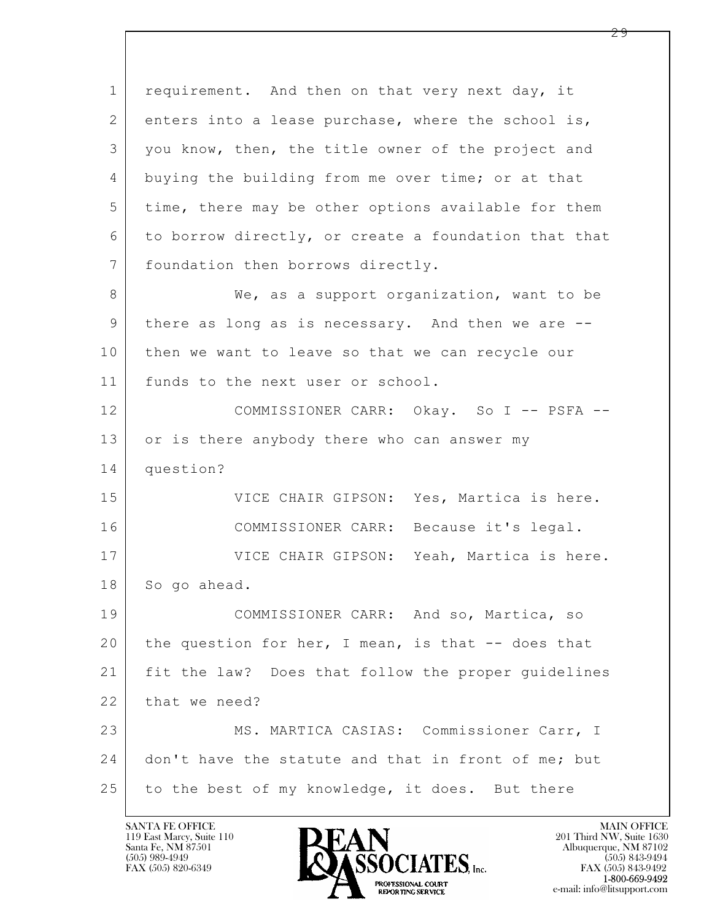$\mathbf{L}$  1 requirement. And then on that very next day, it 2 enters into a lease purchase, where the school is, 3 you know, then, the title owner of the project and 4 buying the building from me over time; or at that 5 time, there may be other options available for them 6 to borrow directly, or create a foundation that that 7 | foundation then borrows directly. 8 We, as a support organization, want to be 9 there as long as is necessary. And then we are -- 10 then we want to leave so that we can recycle our 11 | funds to the next user or school. 12 COMMISSIONER CARR: Okay. So I -- PSFA -- 13 or is there anybody there who can answer my 14 question? 15 | VICE CHAIR GIPSON: Yes, Martica is here. 16 COMMISSIONER CARR: Because it's legal. 17 VICE CHAIR GIPSON: Yeah, Martica is here. 18 So go ahead. 19 | COMMISSIONER CARR: And so, Martica, so 20 the question for her, I mean, is that -- does that 21 fit the law? Does that follow the proper guidelines 22 that we need? 23 MS. MARTICA CASIAS: Commissioner Carr, I 24 don't have the statute and that in front of me; but 25 to the best of my knowledge, it does. But there

119 East Marcy, Suite 110<br>Santa Fe, NM 87501

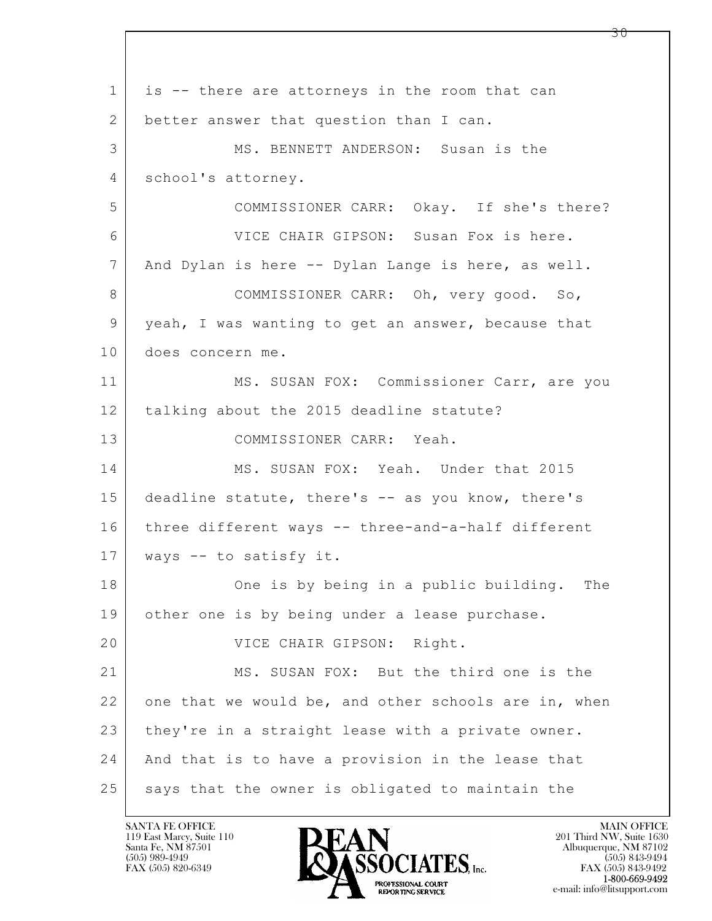$\mathbf{L}$  1 is -- there are attorneys in the room that can 2 better answer that question than I can. 3 MS. BENNETT ANDERSON: Susan is the 4 school's attorney. 5 COMMISSIONER CARR: Okay. If she's there? 6 VICE CHAIR GIPSON: Susan Fox is here. 7 And Dylan is here -- Dylan Lange is here, as well. 8 COMMISSIONER CARR: Oh, very good. So, 9 yeah, I was wanting to get an answer, because that 10 does concern me. 11 | MS. SUSAN FOX: Commissioner Carr, are you 12 | talking about the 2015 deadline statute? 13 COMMISSIONER CARR: Yeah. 14 MS. SUSAN FOX: Yeah. Under that 2015 15 deadline statute, there's -- as you know, there's 16 three different ways -- three-and-a-half different 17 ways -- to satisfy it. 18 One is by being in a public building. The 19 other one is by being under a lease purchase. 20 | VICE CHAIR GIPSON: Right. 21 MS. SUSAN FOX: But the third one is the 22 one that we would be, and other schools are in, when 23 they're in a straight lease with a private owner. 24 And that is to have a provision in the lease that 25 says that the owner is obligated to maintain the

119 East Marcy, Suite 110<br>Santa Fe, NM 87501

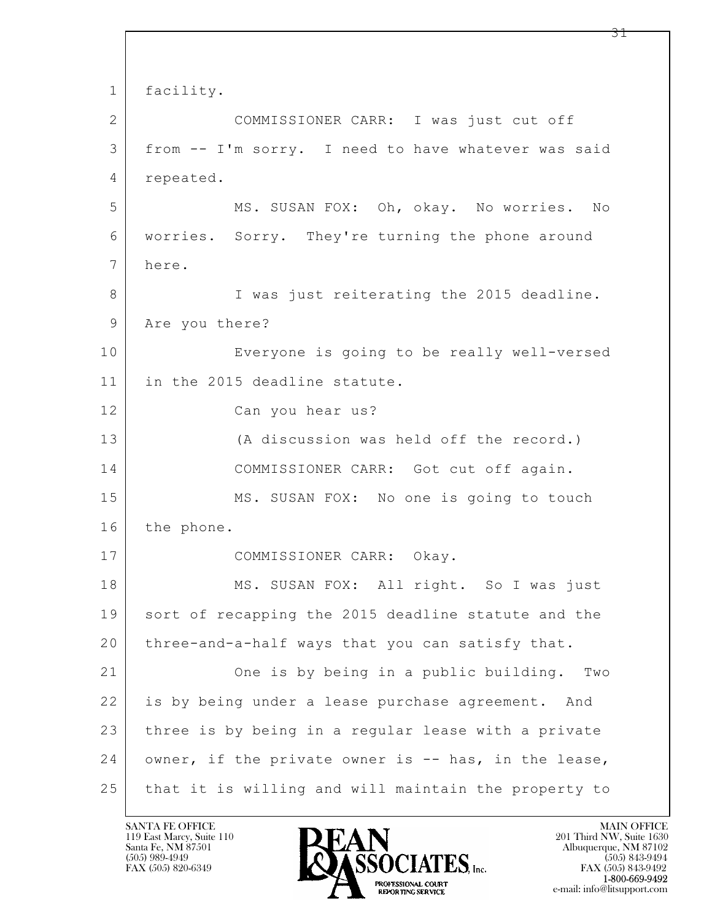$\mathbf{L}$  1 facility. 2 COMMISSIONER CARR: I was just cut off 3 from -- I'm sorry. I need to have whatever was said 4 repeated. 5 MS. SUSAN FOX: Oh, okay. No worries. No 6 worries. Sorry. They're turning the phone around 7 here. 8 I was just reiterating the 2015 deadline. 9 Are you there? 10 Everyone is going to be really well-versed 11 in the 2015 deadline statute. 12 Can you hear us? 13 (A discussion was held off the record.) 14 COMMISSIONER CARR: Got cut off again. 15 MS. SUSAN FOX: No one is going to touch 16 the phone. 17 COMMISSIONER CARR: Okay. 18 | MS. SUSAN FOX: All right. So I was just 19 sort of recapping the 2015 deadline statute and the 20 three-and-a-half ways that you can satisfy that. 21 One is by being in a public building. Two 22 is by being under a lease purchase agreement. And 23 three is by being in a regular lease with a private 24 owner, if the private owner is -- has, in the lease, 25 that it is willing and will maintain the property to

119 East Marcy, Suite 110<br>Santa Fe, NM 87501

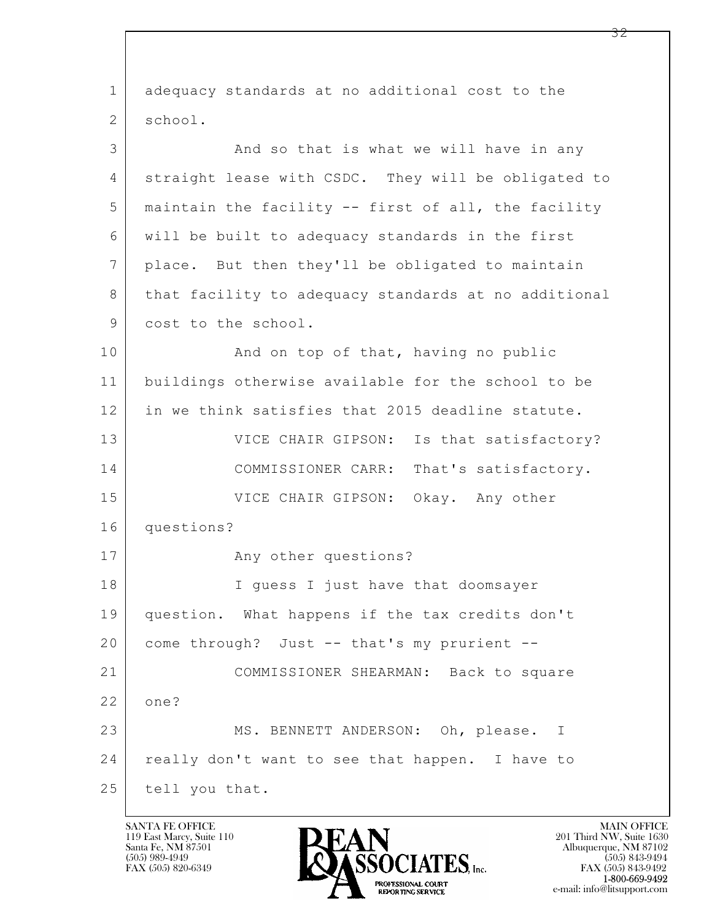| $\mathbf{1}$   | adequacy standards at no additional cost to the      |  |
|----------------|------------------------------------------------------|--|
| 2              | school.                                              |  |
| 3              | And so that is what we will have in any              |  |
| 4              | straight lease with CSDC. They will be obligated to  |  |
| 5              | maintain the facility -- first of all, the facility  |  |
| 6              | will be built to adequacy standards in the first     |  |
| $\overline{7}$ | place. But then they'll be obligated to maintain     |  |
| 8              | that facility to adequacy standards at no additional |  |
| 9              | cost to the school.                                  |  |
| 10             | And on top of that, having no public                 |  |
| 11             | buildings otherwise available for the school to be   |  |
| 12             | in we think satisfies that 2015 deadline statute.    |  |
| 13             | VICE CHAIR GIPSON: Is that satisfactory?             |  |
| 14             | COMMISSIONER CARR: That's satisfactory.              |  |
| 15             | VICE CHAIR GIPSON: Okay. Any other                   |  |
| 16             | questions?                                           |  |
| 17             | Any other questions?                                 |  |
| 18             | I guess I just have that doomsayer                   |  |
| 19             | question. What happens if the tax credits don't      |  |
| 20             | come through? Just -- that's my prurient --          |  |
| 21             | COMMISSIONER SHEARMAN: Back to square                |  |
| 22             | one?                                                 |  |
| 23             | MS. BENNETT ANDERSON: Oh, please. I                  |  |
| 24             | really don't want to see that happen. I have to      |  |
| 25             | tell you that.                                       |  |

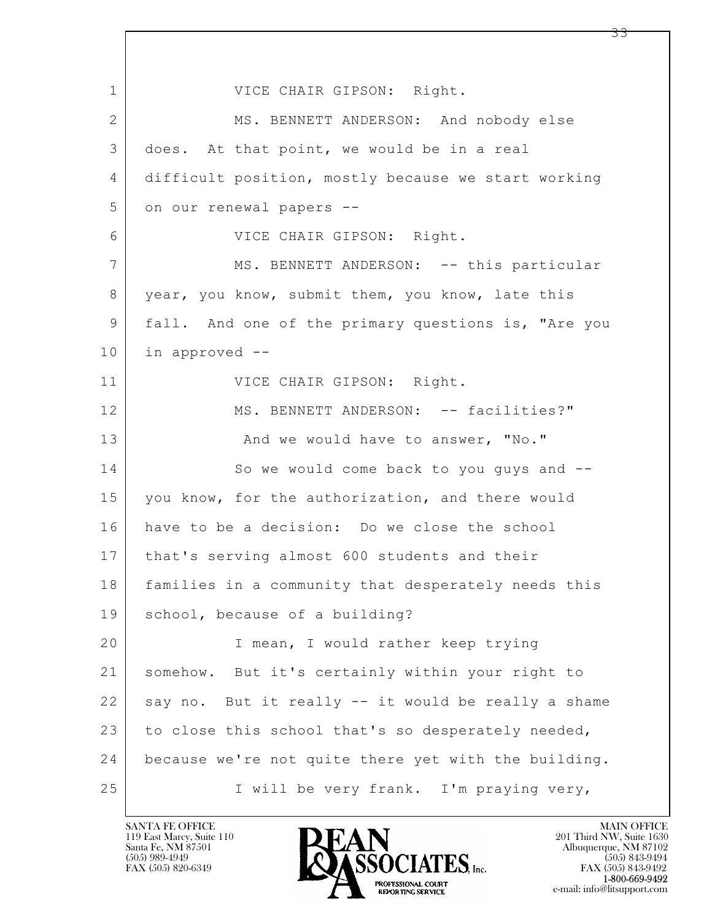$\mathbf{L}$  1 VICE CHAIR GIPSON: Right. 2 MS. BENNETT ANDERSON: And nobody else 3 does. At that point, we would be in a real 4 difficult position, mostly because we start working 5 on our renewal papers --6 VICE CHAIR GIPSON: Right. 7 MS. BENNETT ANDERSON: -- this particular 8 year, you know, submit them, you know, late this 9 fall. And one of the primary questions is, "Are you 10 in approved -- 11 | VICE CHAIR GIPSON: Right. 12 MS. BENNETT ANDERSON: -- facilities?" 13 And we would have to answer, "No." 14 So we would come back to you quys and  $-$ 15 you know, for the authorization, and there would 16 have to be a decision: Do we close the school 17 that's serving almost 600 students and their 18 families in a community that desperately needs this 19 school, because of a building? 20 I mean, I would rather keep trying 21 somehow. But it's certainly within your right to  $22$  say no. But it really  $-$  it would be really a shame 23 to close this school that's so desperately needed, 24 because we're not quite there yet with the building. 25 | I will be very frank. I'm praying very,

119 East Marcy, Suite 110<br>Santa Fe, NM 87501

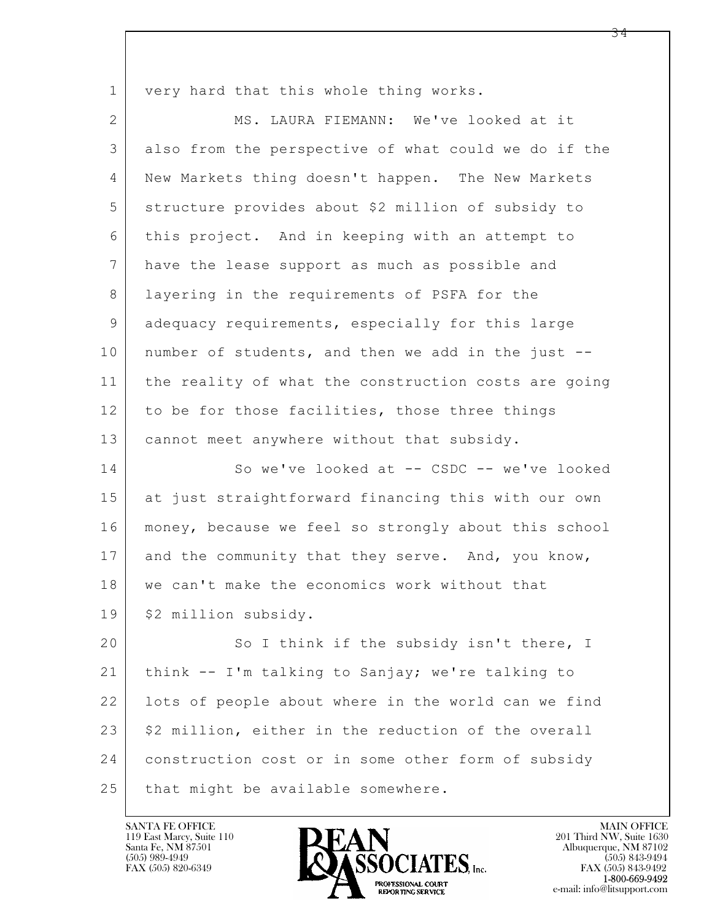1 very hard that this whole thing works.

2 MS. LAURA FIEMANN: We've looked at it 3 also from the perspective of what could we do if the 4 New Markets thing doesn't happen. The New Markets 5 structure provides about \$2 million of subsidy to 6 this project. And in keeping with an attempt to 7 have the lease support as much as possible and 8 | layering in the requirements of PSFA for the 9 adequacy requirements, especially for this large 10 number of students, and then we add in the just -- 11 the reality of what the construction costs are going 12 to be for those facilities, those three things 13 | cannot meet anywhere without that subsidy. 14 So we've looked at -- CSDC -- we've looked 15 at just straightforward financing this with our own 16 money, because we feel so strongly about this school 17 and the community that they serve. And, you know, 18 | we can't make the economics work without that 19 | \$2 million subsidy. 20 So I think if the subsidy isn't there, I

 $\mathbf{L}$  21 think -- I'm talking to Sanjay; we're talking to 22 lots of people about where in the world can we find  $23$   $\frac{1}{2}$   $\frac{1}{2}$  million, either in the reduction of the overall 24 construction cost or in some other form of subsidy 25 that might be available somewhere.

119 East Marcy, Suite 110<br>Santa Fe, NM 87501

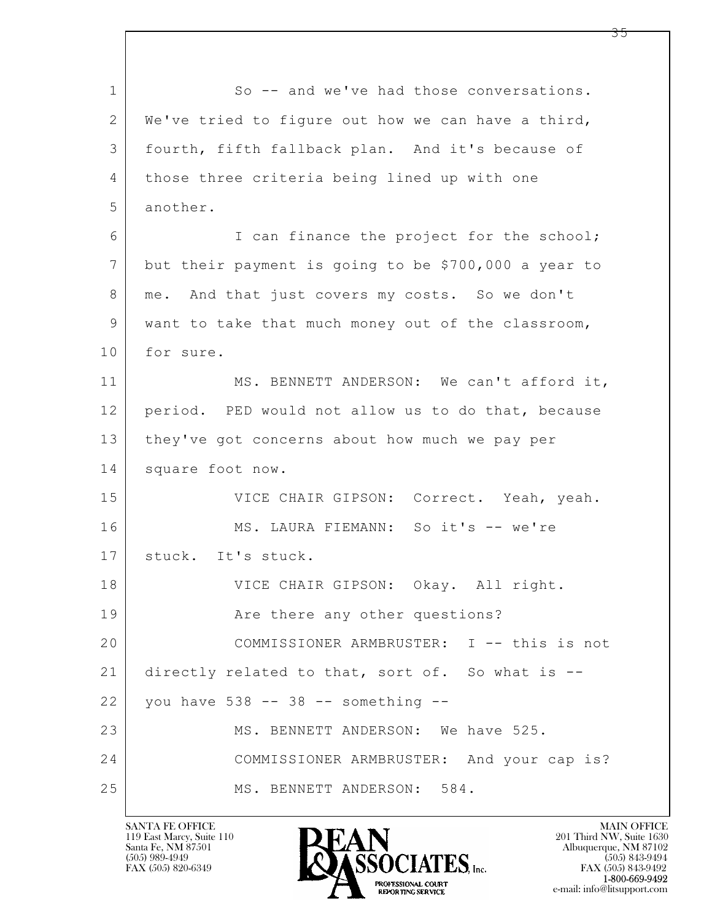$\mathbf{L}$  1 So -- and we've had those conversations. 2 We've tried to figure out how we can have a third, 3 fourth, fifth fallback plan. And it's because of 4 those three criteria being lined up with one 5 another. 6 I can finance the project for the school; 7 but their payment is going to be \$700,000 a year to 8 | me. And that just covers my costs. So we don't 9 want to take that much money out of the classroom, 10 for sure. 11 MS. BENNETT ANDERSON: We can't afford it, 12 period. PED would not allow us to do that, because 13 they've got concerns about how much we pay per 14 square foot now. 15 | VICE CHAIR GIPSON: Correct. Yeah, yeah. 16 MS. LAURA FIEMANN: So it's -- we're 17 | stuck. It's stuck. 18 VICE CHAIR GIPSON: Okay. All right. 19 | The there any other questions? 20 COMMISSIONER ARMBRUSTER: I -- this is not 21 directly related to that, sort of. So what is -- 22 you have 538 -- 38 -- something -- 23 MS. BENNETT ANDERSON: We have 525. 24 COMMISSIONER ARMBRUSTER: And your cap is? 25 MS. BENNETT ANDERSON: 584.

119 East Marcy, Suite 110<br>Santa Fe, NM 87501

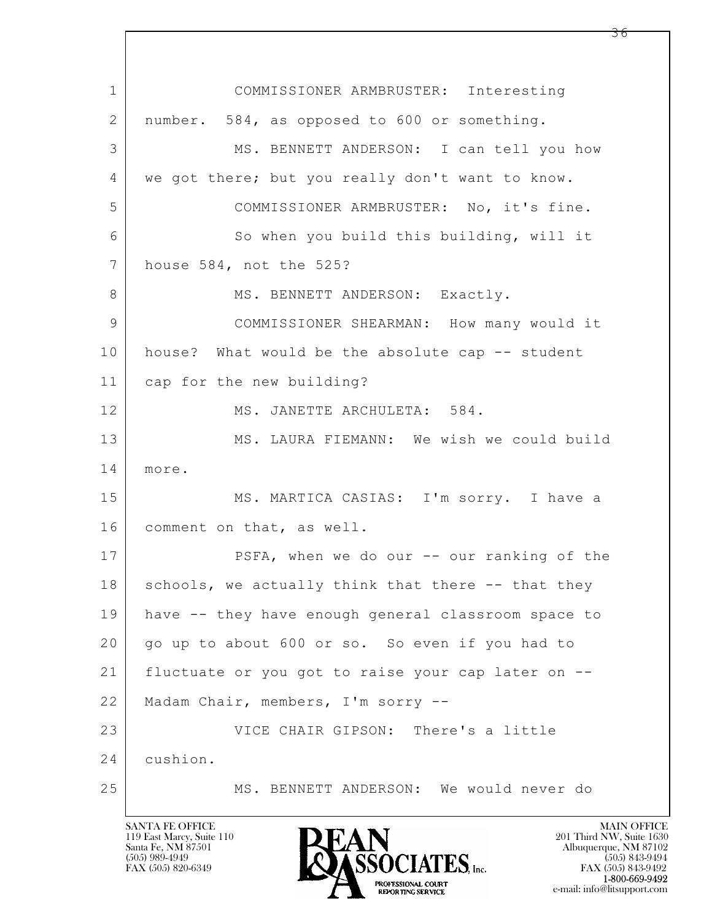$\mathbf{L}$  1 COMMISSIONER ARMBRUSTER: Interesting 2 number. 584, as opposed to 600 or something. 3 MS. BENNETT ANDERSON: I can tell you how 4 we got there; but you really don't want to know. 5 COMMISSIONER ARMBRUSTER: No, it's fine. 6 So when you build this building, will it 7 house 584, not the 525? 8 | MS. BENNETT ANDERSON: Exactly. 9 | COMMISSIONER SHEARMAN: How many would it 10 | house? What would be the absolute cap -- student 11 cap for the new building? 12 MS. JANETTE ARCHULETA: 584. 13 | MS. LAURA FIEMANN: We wish we could build 14 more. 15 MS. MARTICA CASIAS: I'm sorry. I have a 16 comment on that, as well. 17 | PSFA, when we do our -- our ranking of the  $18$  schools, we actually think that there  $-$ - that they 19 have -- they have enough general classroom space to 20 | go up to about 600 or so. So even if you had to 21 fluctuate or you got to raise your cap later on -- 22 Madam Chair, members, I'm sorry -- 23 VICE CHAIR GIPSON: There's a little 24 cushion. 25 MS. BENNETT ANDERSON: We would never do

119 East Marcy, Suite 110<br>Santa Fe, NM 87501

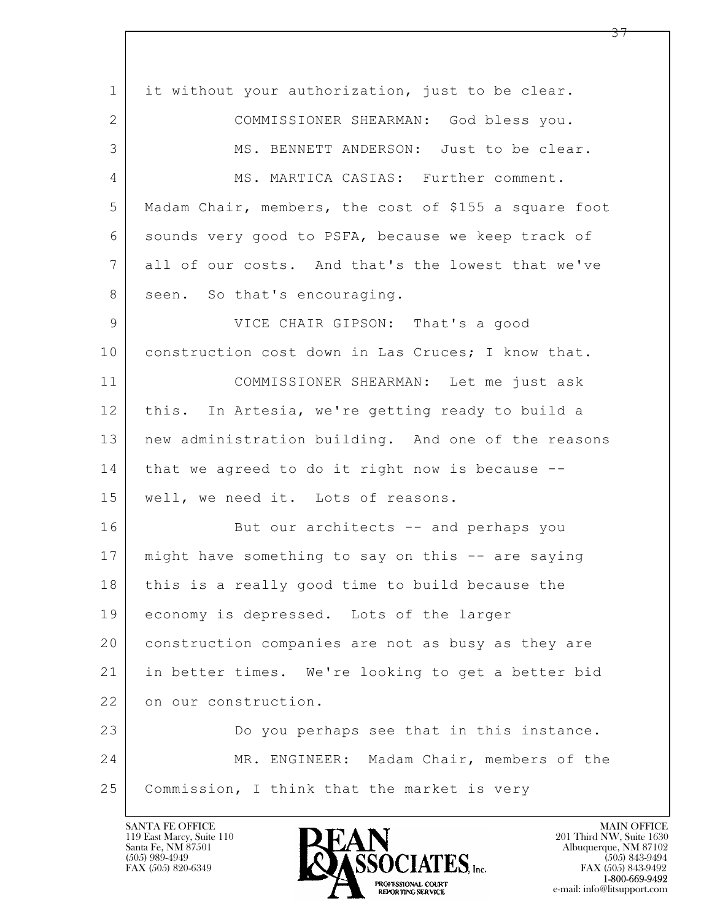$\mathbf{L}$  1 it without your authorization, just to be clear. 2 COMMISSIONER SHEARMAN: God bless you. 3 MS. BENNETT ANDERSON: Just to be clear. 4 MS. MARTICA CASIAS: Further comment. 5 Madam Chair, members, the cost of \$155 a square foot 6 sounds very good to PSFA, because we keep track of 7 all of our costs. And that's the lowest that we've 8 seen. So that's encouraging. 9 VICE CHAIR GIPSON: That's a good 10 construction cost down in Las Cruces; I know that. 11 COMMISSIONER SHEARMAN: Let me just ask 12 this. In Artesia, we're getting ready to build a 13 | new administration building. And one of the reasons 14 that we agreed to do it right now is because --15 | well, we need it. Lots of reasons. 16 But our architects -- and perhaps you 17 might have something to say on this -- are saying 18 | this is a really good time to build because the 19 economy is depressed. Lots of the larger 20 construction companies are not as busy as they are 21 in better times. We're looking to get a better bid 22 on our construction. 23 Do you perhaps see that in this instance. 24 MR. ENGINEER: Madam Chair, members of the 25 | Commission, I think that the market is very

119 East Marcy, Suite 110<br>Santa Fe, NM 87501

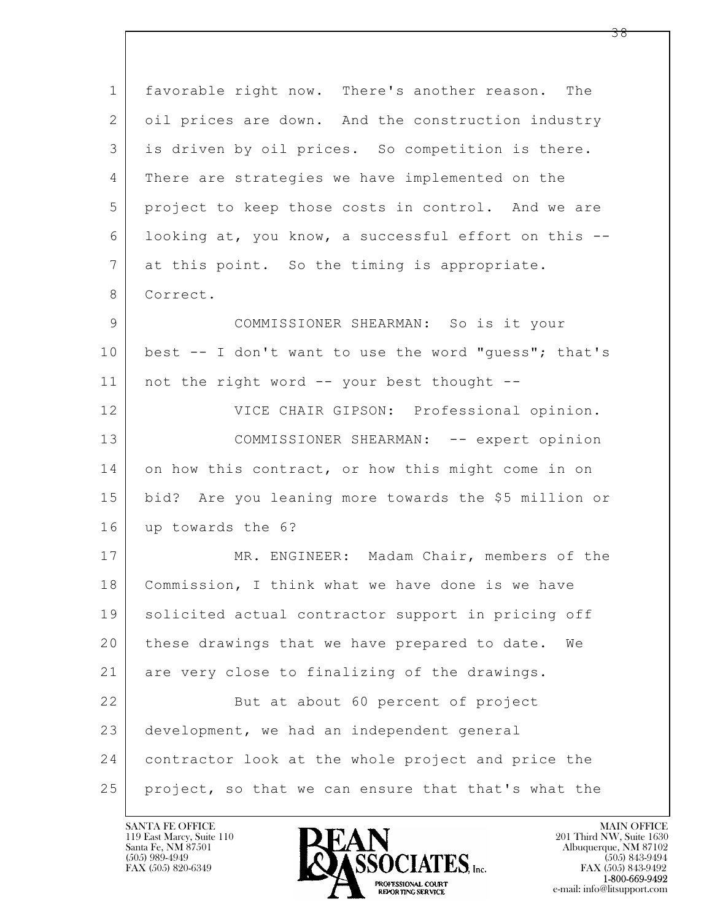| $\mathbf 1$    | favorable right now. There's another reason. The     |  |
|----------------|------------------------------------------------------|--|
| $\mathbf{2}$   | oil prices are down. And the construction industry   |  |
| 3              | is driven by oil prices. So competition is there.    |  |
| 4              | There are strategies we have implemented on the      |  |
| 5              | project to keep those costs in control. And we are   |  |
| 6              | looking at, you know, a successful effort on this -- |  |
| $\overline{7}$ | at this point. So the timing is appropriate.         |  |
| 8              | Correct.                                             |  |
| 9              | COMMISSIONER SHEARMAN: So is it your                 |  |
| 10             | best -- I don't want to use the word "guess"; that's |  |
| 11             | not the right word -- your best thought --           |  |
| 12             | VICE CHAIR GIPSON: Professional opinion.             |  |
| 13             | COMMISSIONER SHEARMAN: -- expert opinion             |  |
| 14             | on how this contract, or how this might come in on   |  |
| 15             | bid? Are you leaning more towards the \$5 million or |  |
| 16             | up towards the 6?                                    |  |
| 17             | MR. ENGINEER: Madam Chair, members of the            |  |
| 18             | Commission, I think what we have done is we have     |  |
| 19             | solicited actual contractor support in pricing off   |  |
| 20             | these drawings that we have prepared to date.<br>We  |  |
| 21             | are very close to finalizing of the drawings.        |  |
| 22             | But at about 60 percent of project                   |  |
| 23             | development, we had an independent general           |  |
| 24             | contractor look at the whole project and price the   |  |
| 25             | project, so that we can ensure that that's what the  |  |

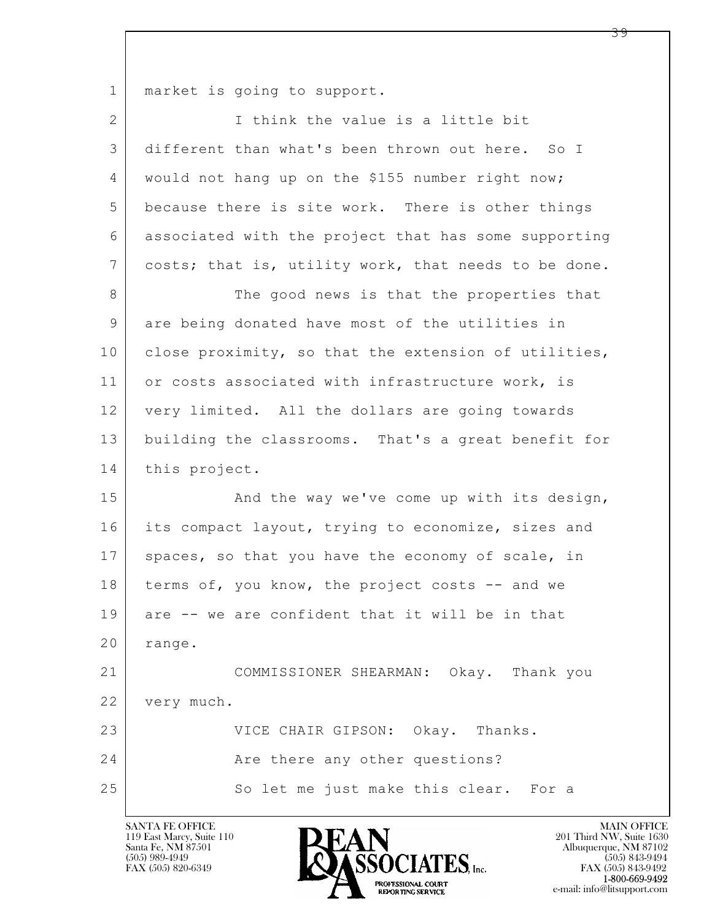1 | market is going to support.

| $\overline{2}$ | I think the value is a little bit                    |
|----------------|------------------------------------------------------|
| 3              | different than what's been thrown out here. So I     |
| 4              | would not hang up on the \$155 number right now;     |
| 5              | because there is site work. There is other things    |
| 6              | associated with the project that has some supporting |
| $\overline{7}$ | costs; that is, utility work, that needs to be done. |
| 8              | The good news is that the properties that            |
| $\mathsf 9$    | are being donated have most of the utilities in      |
| 10             | close proximity, so that the extension of utilities, |
| 11             | or costs associated with infrastructure work, is     |
| 12             | very limited. All the dollars are going towards      |
| 13             | building the classrooms. That's a great benefit for  |
| 14             | this project.                                        |
| 15             | And the way we've come up with its design,           |
| 16             | its compact layout, trying to economize, sizes and   |
| 17             | spaces, so that you have the economy of scale, in    |
| 18             | terms of, you know, the project costs -- and we      |
| 19             | are -- we are confident that it will be in that      |
| 20             | range.                                               |
| 21             | COMMISSIONER SHEARMAN: Okay. Thank you               |
| 22             | very much.                                           |
| 23             | VICE CHAIR GIPSON: Okay. Thanks.                     |
| 24             | Are there any other questions?                       |
| 25             | So let me just make this clear. For a                |

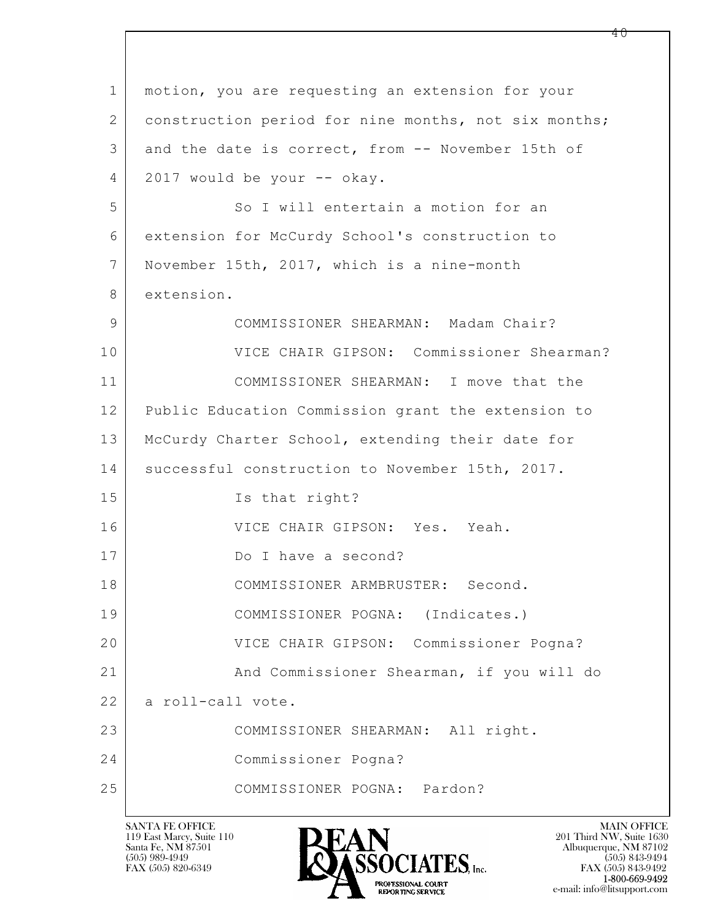| $\mathbf 1$    | motion, you are requesting an extension for your     |  |
|----------------|------------------------------------------------------|--|
| 2              | construction period for nine months, not six months; |  |
| 3              | and the date is correct, from -- November 15th of    |  |
| $\overline{4}$ | 2017 would be your -- okay.                          |  |
| 5              | So I will entertain a motion for an                  |  |
| 6              | extension for McCurdy School's construction to       |  |
| $7\phantom{.}$ | November 15th, 2017, which is a nine-month           |  |
| 8              | extension.                                           |  |
| 9              | COMMISSIONER SHEARMAN: Madam Chair?                  |  |
| 10             | VICE CHAIR GIPSON: Commissioner Shearman?            |  |
| 11             | COMMISSIONER SHEARMAN: I move that the               |  |
| 12             | Public Education Commission grant the extension to   |  |
| 13             | McCurdy Charter School, extending their date for     |  |
| 14             | successful construction to November 15th, 2017.      |  |
| 15             | Is that right?                                       |  |
| 16             | VICE CHAIR GIPSON: Yes. Yeah.                        |  |
| 17             | Do I have a second?                                  |  |
| 18             | COMMISSIONER ARMBRUSTER: Second.                     |  |
| 19             | COMMISSIONER POGNA: (Indicates.)                     |  |
| 20             | VICE CHAIR GIPSON: Commissioner Pogna?               |  |
| 21             | And Commissioner Shearman, if you will do            |  |
| 22             | a roll-call vote.                                    |  |
| 23             | COMMISSIONER SHEARMAN: All right.                    |  |
| 24             | Commissioner Pogna?                                  |  |
| 25             | COMMISSIONER POGNA: Pardon?                          |  |

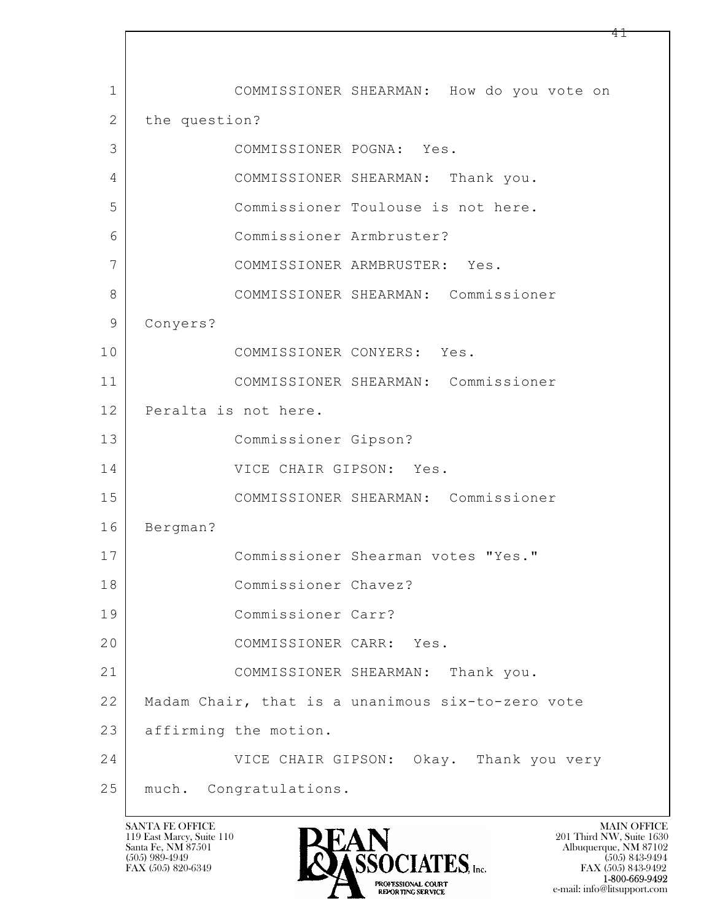$\mathbf{L}$  1 COMMISSIONER SHEARMAN: How do you vote on 2 the question? 3 COMMISSIONER POGNA: Yes. 4 COMMISSIONER SHEARMAN: Thank you. 5 Commissioner Toulouse is not here. 6 Commissioner Armbruster? 7 COMMISSIONER ARMBRUSTER: Yes. 8 COMMISSIONER SHEARMAN: Commissioner 9 Conyers? 10 COMMISSIONER CONYERS: Yes. 11 COMMISSIONER SHEARMAN: Commissioner 12 Peralta is not here. 13 Commissioner Gipson? 14 VICE CHAIR GIPSON: Yes. 15 COMMISSIONER SHEARMAN: Commissioner 16 Bergman? 17 Commissioner Shearman votes "Yes." 18 Commissioner Chavez? 19 Commissioner Carr? 20 COMMISSIONER CARR: Yes. 21 COMMISSIONER SHEARMAN: Thank you. 22 Madam Chair, that is a unanimous six-to-zero vote 23 affirming the motion. 24 VICE CHAIR GIPSON: Okay. Thank you very 25 much. Congratulations.

119 East Marcy, Suite 110<br>Santa Fe, NM 87501



 $FAX (505) 843-9492$ <br>1-800-669-9492 e-mail: info@litsupport.com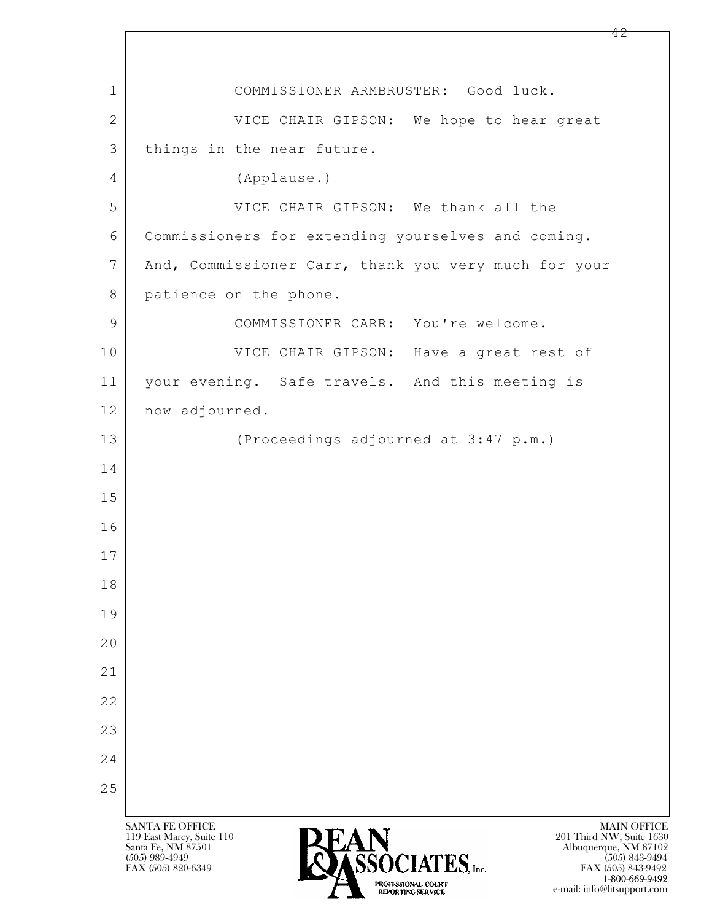$\mathbf{L}$  SANTA FE OFFICE MAIN OFFICE MAIN OFFICE MAIN OFFICE MAIN OFFICE 119 East Marcy, Suite 110<br>Santa Fe, NM 87501 Santa Fe, NM 87501 Albuquerque, NM 87102 1 COMMISSIONER ARMBRUSTER: Good luck. 2 VICE CHAIR GIPSON: We hope to hear great 3 things in the near future. 4 (Applause.) 5 VICE CHAIR GIPSON: We thank all the 6 Commissioners for extending yourselves and coming. 7 | And, Commissioner Carr, thank you very much for your 8 patience on the phone. 9 COMMISSIONER CARR: You're welcome. 10 VICE CHAIR GIPSON: Have a great rest of 11 your evening. Safe travels. And this meeting is 12 | now adjourned. 13 (Proceedings adjourned at 3:47 p.m.) 14 15 16 17 18 19 20 21 22 23 24 25



FAX (505) 843-9492 TROFESSIONAL COURT (THE SERVER OF THE SERVER OF THE SERVER OF THE SERVER OF THE SERVER OF THE SERVER OF THE SERVER OF THE SERVER OF THE SERVER OF THE SERVER OF THE SERVER OF THE SERVER OF THE SERVER OF THE SERVER OF THE SE e-mail: info@litsupport.com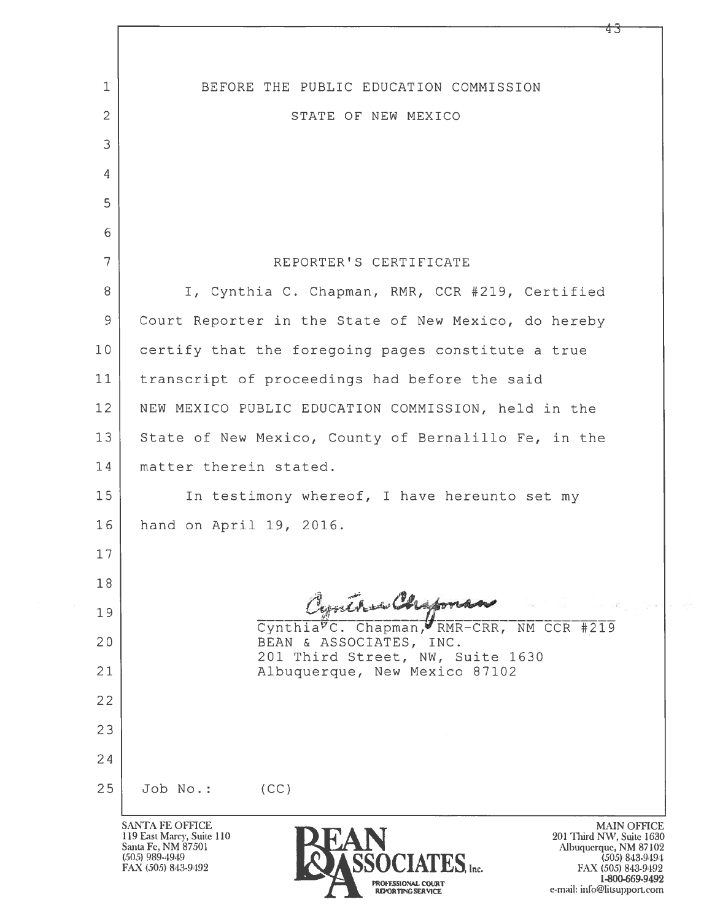| $\mathbf 1$    | BEFORE THE PUBLIC EDUCATION COMMISSION                                                                                                                                                                                                           |  |
|----------------|--------------------------------------------------------------------------------------------------------------------------------------------------------------------------------------------------------------------------------------------------|--|
| $\overline{2}$ | STATE OF NEW MEXICO                                                                                                                                                                                                                              |  |
| 3              |                                                                                                                                                                                                                                                  |  |
| 4              |                                                                                                                                                                                                                                                  |  |
| 5              |                                                                                                                                                                                                                                                  |  |
| 6              |                                                                                                                                                                                                                                                  |  |
| $\overline{7}$ | REPORTER'S CERTIFICATE                                                                                                                                                                                                                           |  |
| 8              | I, Cynthia C. Chapman, RMR, CCR #219, Certified                                                                                                                                                                                                  |  |
| 9              | Court Reporter in the State of New Mexico, do hereby                                                                                                                                                                                             |  |
| 10             | certify that the foregoing pages constitute a true                                                                                                                                                                                               |  |
| 11             | transcript of proceedings had before the said                                                                                                                                                                                                    |  |
| 12             | NEW MEXICO PUBLIC EDUCATION COMMISSION, held in the                                                                                                                                                                                              |  |
| 13             | State of New Mexico, County of Bernalillo Fe, in the                                                                                                                                                                                             |  |
| 14             | matter therein stated.                                                                                                                                                                                                                           |  |
| 15             | In testimony whereof, I have hereunto set my                                                                                                                                                                                                     |  |
| 16             | hand on April 19, 2016.                                                                                                                                                                                                                          |  |
| 17             |                                                                                                                                                                                                                                                  |  |
| 18             |                                                                                                                                                                                                                                                  |  |
| 19             | Contra Chipman<br>Cynthia <sup>v</sup> C. Chapman, RMR-CRR, NM CCR #219                                                                                                                                                                          |  |
| 20             | BEAN & ASSOCIATES, INC.<br>201 Third Street, NW, Suite 1630                                                                                                                                                                                      |  |
| 21             | Albuquerque, New Mexico 87102                                                                                                                                                                                                                    |  |
| 22             |                                                                                                                                                                                                                                                  |  |
| 23             |                                                                                                                                                                                                                                                  |  |
| 24             |                                                                                                                                                                                                                                                  |  |
| 25             | Job No.:<br>(CC)                                                                                                                                                                                                                                 |  |
|                | <b>SANTA FE OFFICE</b><br><b>MAIN OFFI</b><br>119 East Marcy, Suite 110<br>201 Third NW, Suite 16<br>Santa Fe, NM 87501<br>Albuquerque, NM 871<br>$(505)$ 989-4949<br>SOCIATES, Inc.<br>$(505)$ 843-94<br>FAX (505) 843-9492<br>FAX (505) 843-94 |  |

**PROFESSIONAL COURT<br>REPORTING SERVICE** 

MAIN OFFICE<br>
Inird NW, Suite 1630<br>
uquerque, NM 87102<br>
(505) 843-9492<br>
1-800-669-9492<br>
1-060-669-9492<br>
<sup>1.</sup> info@liteup.pdf e-mail: info@litsupport.com

Ŷ,